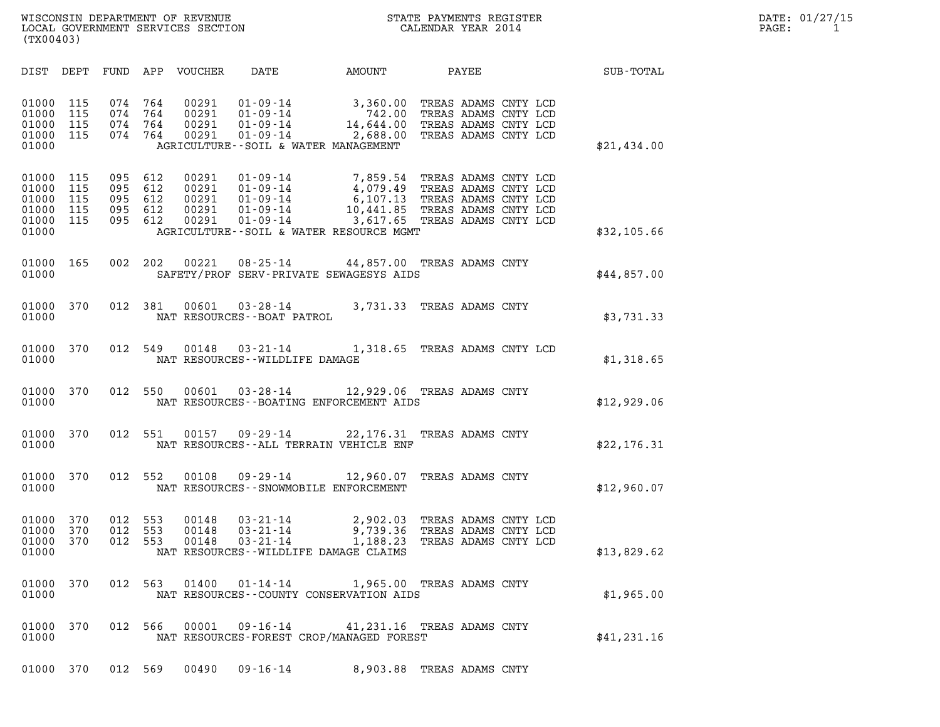| (TX00403)                                          |                                 |                                 |                                 |                                           |                                                                                        |                                                                                                                           |                                                                                                        |             |
|----------------------------------------------------|---------------------------------|---------------------------------|---------------------------------|-------------------------------------------|----------------------------------------------------------------------------------------|---------------------------------------------------------------------------------------------------------------------------|--------------------------------------------------------------------------------------------------------|-------------|
| DIST                                               | DEPT                            | FUND                            | APP                             | VOUCHER                                   | DATE                                                                                   | AMOUNT                                                                                                                    | PAYEE                                                                                                  | SUB-TOTAL   |
| 01000<br>01000<br>01000<br>01000<br>01000          | 115<br>115<br>115<br>115        | 074<br>074<br>074<br>074        | 764<br>764<br>764<br>764        | 00291<br>00291<br>00291<br>00291          | $01 - 09 - 14$<br>$01 - 09 - 14$                                                       | 3,360.00<br>742.00<br>14,644.00<br>$01 - 09 - 14$<br>$01 - 09 - 14$<br>$2,688.00$<br>AGRICULTURE--SOIL & WATER MANAGEMENT | TREAS ADAMS CNTY LCD<br>TREAS ADAMS CNTY LCD<br>TREAS ADAMS CNTY LCD<br>TREAS ADAMS CNTY LCD           | \$21,434.00 |
| 01000<br>01000<br>01000<br>01000<br>01000<br>01000 | 115<br>115<br>115<br>115<br>115 | 095<br>095<br>095<br>095<br>095 | 612<br>612<br>612<br>612<br>612 | 00291<br>00291<br>00291<br>00291<br>00291 | $01 - 09 - 14$<br>$01 - 09 - 14$<br>$01 - 09 - 14$<br>$01 - 09 - 14$<br>$01 - 09 - 14$ | 7,859.54<br>4,079.49<br>6, 107.13<br>3,617.65 TREAS ADAMS CNTY LCD<br>AGRICULTURE--SOIL & WATER RESOURCE MGMT             | TREAS ADAMS CNTY LCD<br>TREAS ADAMS CNTY LCD<br>TREAS ADAMS CNTY LCD<br>10,441.85 TREAS ADAMS CNTY LCD | \$32,105.66 |
| 01000<br>01000                                     | 165                             | 002                             | 202                             | 00221                                     |                                                                                        | 08-25-14 44,857.00 TREAS ADAMS CNTY<br>SAFETY/PROF SERV-PRIVATE SEWAGESYS AIDS                                            |                                                                                                        | \$44,857.00 |
| 01000<br>01000                                     | 370                             | 012                             | 381                             | 00601                                     | $03 - 28 - 14$<br>NAT RESOURCES - - BOAT PATROL                                        | 3,731.33                                                                                                                  | TREAS ADAMS CNTY                                                                                       | \$3,731.33  |
| 01000<br>01000                                     | 370                             | 012                             | 549                             | 00148                                     | $03 - 21 - 14$<br>NAT RESOURCES - - WILDLIFE DAMAGE                                    | 1,318.65                                                                                                                  | TREAS ADAMS CNTY LCD                                                                                   | \$1,318.65  |
| 01000<br>01000                                     | 370                             | 012                             | 550                             | 00601                                     |                                                                                        | 03-28-14 12,929.06 TREAS ADAMS CNTY<br>NAT RESOURCES - - BOATING ENFORCEMENT AIDS                                         |                                                                                                        | \$12,929.06 |
| 01000<br>01000                                     | 370                             | 012                             | 551                             |                                           |                                                                                        | 00157 09-29-14 22,176.31<br>NAT RESOURCES -- ALL TERRAIN VEHICLE ENF                                                      | TREAS ADAMS CNTY                                                                                       | \$22,176.31 |
| 01000<br>01000                                     | 370                             | 012                             | 552                             | 00108                                     |                                                                                        | $09 - 29 - 14$ 12,960.07<br>NAT RESOURCES - - SNOWMOBILE ENFORCEMENT                                                      | TREAS ADAMS CNTY                                                                                       | \$12,960.07 |
| 01000<br>01000<br>01000<br>01000                   | 370<br>370<br>370               | 012<br>012<br>012               | 553<br>553<br>553               | 00148<br>00148<br>00148                   | 03-21-14<br>$03 - 21 - 14$<br>$03 - 21 - 14$                                           | 2,902.03<br>9,739.36<br>1,188.23<br>NAT RESOURCES - - WILDLIFE DAMAGE CLAIMS                                              | TREAS ADAMS CNTY LCD<br>TREAS ADAMS CNTY LCD<br>TREAS ADAMS CNTY LCD                                   | \$13,829.62 |
| 01000<br>01000                                     | 370                             |                                 | 012 563                         |                                           | $01400$ $01 - 14 - 14$                                                                 | NAT RESOURCES - - COUNTY CONSERVATION AIDS                                                                                | 1,965.00 TREAS ADAMS CNTY                                                                              | \$1,965.00  |
| 01000<br>01000                                     | 370                             | 012 566                         |                                 |                                           |                                                                                        | 00001  09-16-14  41,231.16  TREAS ADAMS CNTY<br>NAT RESOURCES-FOREST CROP/MANAGED FOREST                                  |                                                                                                        | \$41,231.16 |
|                                                    |                                 |                                 |                                 |                                           |                                                                                        |                                                                                                                           |                                                                                                        |             |

01000 370 012 569 00490 09-16-14 8,903.88 TREAS ADAMS CNTY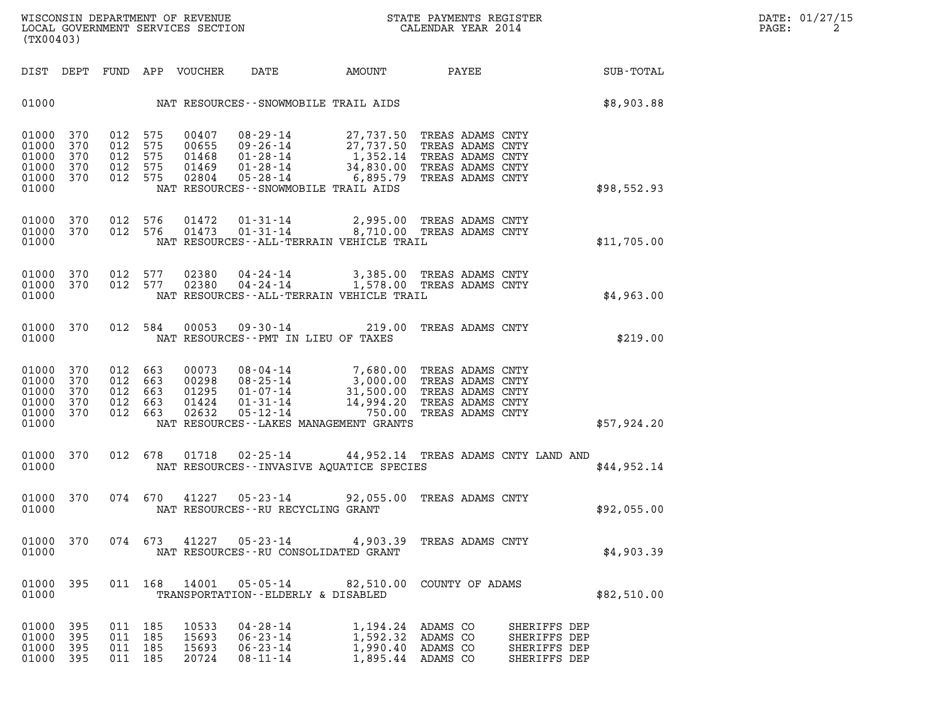| (TX00403)                                                                                                                                                                                                                                                |                                 |                                 |                                           |                                                                                        |                                                             |                                                                                                                                                                                                                                                                                                   |                                                                                                                                                                         |                                                                                                                                                                                                                                                                                                                                                                                                                                                                     |
|----------------------------------------------------------------------------------------------------------------------------------------------------------------------------------------------------------------------------------------------------------|---------------------------------|---------------------------------|-------------------------------------------|----------------------------------------------------------------------------------------|-------------------------------------------------------------|---------------------------------------------------------------------------------------------------------------------------------------------------------------------------------------------------------------------------------------------------------------------------------------------------|-------------------------------------------------------------------------------------------------------------------------------------------------------------------------|---------------------------------------------------------------------------------------------------------------------------------------------------------------------------------------------------------------------------------------------------------------------------------------------------------------------------------------------------------------------------------------------------------------------------------------------------------------------|
| DEPT                                                                                                                                                                                                                                                     | FUND                            | APP                             |                                           | DATE                                                                                   | AMOUNT                                                      |                                                                                                                                                                                                                                                                                                   |                                                                                                                                                                         | SUB-TOTAL                                                                                                                                                                                                                                                                                                                                                                                                                                                           |
|                                                                                                                                                                                                                                                          |                                 |                                 |                                           |                                                                                        |                                                             |                                                                                                                                                                                                                                                                                                   |                                                                                                                                                                         | \$8,903.88                                                                                                                                                                                                                                                                                                                                                                                                                                                          |
| 370<br>370<br>370<br>370<br>370                                                                                                                                                                                                                          | 012<br>012<br>012<br>012<br>012 | 575<br>575<br>575<br>575<br>575 | 00407<br>00655<br>01468<br>01469<br>02804 | $08 - 29 - 14$<br>$09 - 26 - 14$<br>$01 - 28 - 14$<br>$01 - 28 - 14$<br>$05 - 28 - 14$ | 27,737.50<br>27,737.50<br>1,352.14<br>34,830.00<br>6,895.79 |                                                                                                                                                                                                                                                                                                   |                                                                                                                                                                         | \$98,552.93                                                                                                                                                                                                                                                                                                                                                                                                                                                         |
| 370<br>370                                                                                                                                                                                                                                               | 012<br>012                      | 576<br>576                      | 01472<br>01473                            | $01 - 31 - 14$<br>$01 - 31 - 14$                                                       | 2,995.00                                                    |                                                                                                                                                                                                                                                                                                   |                                                                                                                                                                         | \$11,705.00                                                                                                                                                                                                                                                                                                                                                                                                                                                         |
| 370<br>370                                                                                                                                                                                                                                               | 012<br>012                      | 577<br>577                      | 02380<br>02380                            | 04 - 24 - 14<br>$04 - 24 - 14$                                                         | 3,385.00<br>1,578.00                                        |                                                                                                                                                                                                                                                                                                   |                                                                                                                                                                         | \$4,963.00                                                                                                                                                                                                                                                                                                                                                                                                                                                          |
| 370                                                                                                                                                                                                                                                      | 012                             | 584                             | 00053                                     | $09 - 30 - 14$                                                                         | 219.00                                                      |                                                                                                                                                                                                                                                                                                   |                                                                                                                                                                         | \$219.00                                                                                                                                                                                                                                                                                                                                                                                                                                                            |
| 370<br>370<br>370<br>370<br>370                                                                                                                                                                                                                          | 012<br>012<br>012<br>012<br>012 | 663<br>663<br>663<br>663<br>663 | 00073<br>00298<br>01295<br>01424<br>02632 | 08-04-14<br>$08 - 25 - 14$<br>$01 - 31 - 14$<br>$05 - 12 - 14$                         | 7,680.00<br>3,000.00<br>31,500.00<br>14,994.20<br>750.00    |                                                                                                                                                                                                                                                                                                   |                                                                                                                                                                         | \$57,924.20                                                                                                                                                                                                                                                                                                                                                                                                                                                         |
| 370                                                                                                                                                                                                                                                      | 012                             | 678                             | 01718                                     | 02-25-14                                                                               |                                                             |                                                                                                                                                                                                                                                                                                   |                                                                                                                                                                         | \$44,952.14                                                                                                                                                                                                                                                                                                                                                                                                                                                         |
| 370                                                                                                                                                                                                                                                      | 074                             | 670                             | 41227                                     | $05 - 23 - 14$                                                                         | 92,055.00                                                   |                                                                                                                                                                                                                                                                                                   |                                                                                                                                                                         | \$92,055.00                                                                                                                                                                                                                                                                                                                                                                                                                                                         |
| 370                                                                                                                                                                                                                                                      | 074                             | 673                             | 41227                                     | 05-23-14                                                                               | 4,903.39                                                    |                                                                                                                                                                                                                                                                                                   |                                                                                                                                                                         | \$4,903.39                                                                                                                                                                                                                                                                                                                                                                                                                                                          |
| 395                                                                                                                                                                                                                                                      |                                 |                                 | 14001                                     | $05 - 05 - 14$                                                                         |                                                             |                                                                                                                                                                                                                                                                                                   |                                                                                                                                                                         | \$82,510.00                                                                                                                                                                                                                                                                                                                                                                                                                                                         |
| 395<br>395<br>395<br>395                                                                                                                                                                                                                                 | 011<br>011<br>011<br>011        | 185<br>185<br>185<br>185        | 10533<br>15693<br>15693<br>20724          | $04 - 28 - 14$<br>$06 - 23 - 14$<br>$06 - 23 - 14$<br>$08 - 11 - 14$                   | 1,194.24<br>1,592.32<br>1,990.40<br>1,895.44                | ADAMS CO<br>ADAMS CO<br>ADAMS CO<br>ADAMS CO                                                                                                                                                                                                                                                      | SHERIFFS DEP                                                                                                                                                            |                                                                                                                                                                                                                                                                                                                                                                                                                                                                     |
| 01000<br>01000<br>01000<br>01000<br>01000<br>01000<br>01000<br>01000<br>01000<br>01000<br>01000<br>01000<br>01000<br>01000<br>01000<br>01000<br>01000<br>01000<br>01000<br>01000<br>01000<br>01000<br>01000<br>01000<br>01000<br>01000<br>01000<br>01000 |                                 |                                 | 011 168                                   | VOUCHER                                                                                | 01-07-14                                                    | NAT RESOURCES - - SNOWMOBILE TRAIL AIDS<br>NAT RESOURCES - - SNOWMOBILE TRAIL AIDS<br>NAT RESOURCES -- PMT IN LIEU OF TAXES<br>NAT RESOURCES - - LAKES MANAGEMENT GRANTS<br>NAT RESOURCES - - RU RECYCLING GRANT<br>NAT RESOURCES - - RU CONSOLIDATED GRANT<br>TRANSPORTATION--ELDERLY & DISABLED | <b>PAYEE</b><br>NAT RESOURCES - - ALL - TERRAIN VEHICLE TRAIL<br>NAT RESOURCES - - ALL - TERRAIN VEHICLE TRAIL<br>NAT RESOURCES--INVASIVE AQUATICE SPECIES<br>82,510.00 | TREAS ADAMS CNTY<br>TREAS ADAMS CNTY<br>TREAS ADAMS CNTY<br>TREAS ADAMS CNTY<br>TREAS ADAMS CNTY<br>TREAS ADAMS CNTY<br>8,710.00 TREAS ADAMS CNTY<br>TREAS ADAMS CNTY<br>TREAS ADAMS CNTY<br>TREAS ADAMS CNTY<br>TREAS ADAMS CNTY<br>TREAS ADAMS CNTY<br>TREAS ADAMS CNTY<br>TREAS ADAMS CNTY<br>TREAS ADAMS CNTY<br>44,952.14 TREAS ADAMS CNTY LAND AND<br>TREAS ADAMS CNTY<br>TREAS ADAMS CNTY<br>COUNTY OF ADAMS<br>SHERIFFS DEP<br>SHERIFFS DEP<br>SHERIFFS DEP |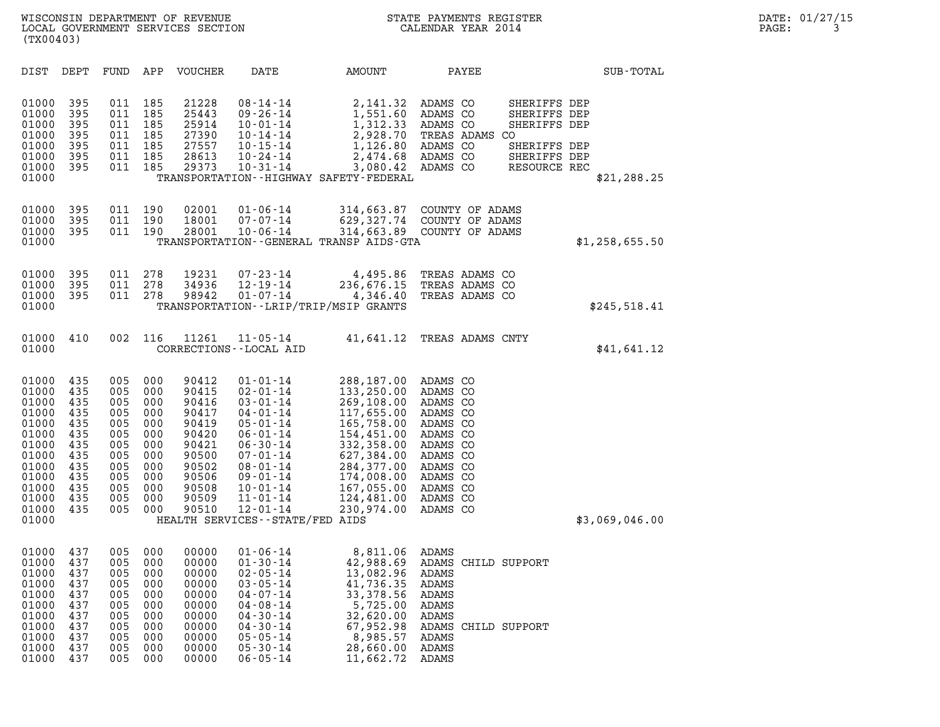| (TX00403)                                                                                                                  |                                                                                         |                                                                                         |                                                                                         |                                                                                                                   |                                                                                                                                                                                                                                                                              |                                                                                                                                                                                    |                                                                                                                                                          |                                                                                              |                  |
|----------------------------------------------------------------------------------------------------------------------------|-----------------------------------------------------------------------------------------|-----------------------------------------------------------------------------------------|-----------------------------------------------------------------------------------------|-------------------------------------------------------------------------------------------------------------------|------------------------------------------------------------------------------------------------------------------------------------------------------------------------------------------------------------------------------------------------------------------------------|------------------------------------------------------------------------------------------------------------------------------------------------------------------------------------|----------------------------------------------------------------------------------------------------------------------------------------------------------|----------------------------------------------------------------------------------------------|------------------|
| DIST                                                                                                                       | DEPT                                                                                    | FUND                                                                                    | APP                                                                                     | VOUCHER                                                                                                           | DATE                                                                                                                                                                                                                                                                         | AMOUNT                                                                                                                                                                             | PAYEE                                                                                                                                                    |                                                                                              | <b>SUB-TOTAL</b> |
| 01000<br>01000<br>01000<br>01000<br>01000<br>01000<br>01000<br>01000                                                       | 395<br>395<br>395<br>395<br>395<br>395<br>395                                           | 011<br>011<br>011<br>011<br>011<br>011<br>011                                           | 185<br>185<br>185<br>185<br>185<br>185<br>185                                           | 21228<br>25443<br>25914<br>27390<br>27557<br>28613<br>29373                                                       | $08 - 14 - 14$<br>$09 - 26 - 14$<br>$10 - 01 - 14$<br>$10 - 14 - 14$<br>$10 - 15 - 14$<br>$10 - 24 - 14$<br>$10 - 31 - 14$                                                                                                                                                   | 2,141.32<br>1,551.60<br>1,312.33<br>2,928.70<br>1,126.80<br>2,474.68 ADAMS CO<br>3,080.42 ADAMS CO<br>TRANSPORTATION - - HIGHWAY SAFETY - FEDERAL                                  | ADAMS CO<br>ADAMS CO<br>ADAMS CO<br>TREAS ADAMS CO<br>ADAMS CO                                                                                           | SHERIFFS DEP<br>SHERIFFS DEP<br>SHERIFFS DEP<br>SHERIFFS DEP<br>SHERIFFS DEP<br>RESOURCE REC | \$21, 288.25     |
| 01000<br>01000<br>01000<br>01000                                                                                           | 395<br>395<br>395                                                                       | 011<br>011<br>011                                                                       | 190<br>190<br>190                                                                       | 02001<br>18001<br>28001                                                                                           | $01 - 06 - 14$<br>$07 - 07 - 14$<br>$10 - 06 - 14$                                                                                                                                                                                                                           | 314,663.87<br>TRANSPORTATION - - GENERAL TRANSP AIDS - GTA                                                                                                                         | COUNTY OF ADAMS<br>629,327.74 COUNTY OF ADAMS<br>314,663.89 COUNTY OF ADAMS                                                                              |                                                                                              | \$1,258,655.50   |
| 01000<br>01000<br>01000<br>01000                                                                                           | 395<br>395<br>395                                                                       | 011<br>011<br>011                                                                       | 278<br>278<br>278                                                                       | 19231<br>34936<br>98942                                                                                           | $07 - 23 - 14$<br>$12 - 19 - 14$<br>$01 - 07 - 14$                                                                                                                                                                                                                           | 4,495.86<br>236,676.15<br>4,346.40<br>TRANSPORTATION - - LRIP/TRIP/MSIP GRANTS                                                                                                     | TREAS ADAMS CO<br>TREAS ADAMS CO<br>TREAS ADAMS CO                                                                                                       |                                                                                              | \$245,518.41     |
| 01000<br>01000                                                                                                             | 410                                                                                     | 002                                                                                     | 116                                                                                     | 11261                                                                                                             | $11 - 05 - 14$<br>CORRECTIONS - - LOCAL AID                                                                                                                                                                                                                                  | 41,641.12                                                                                                                                                                          | TREAS ADAMS CNTY                                                                                                                                         |                                                                                              | \$41,641.12      |
| 01000<br>01000<br>01000<br>01000<br>01000<br>01000<br>01000<br>01000<br>01000<br>01000<br>01000<br>01000<br>01000<br>01000 | 435<br>435<br>435<br>435<br>435<br>435<br>435<br>435<br>435<br>435<br>435<br>435<br>435 | 005<br>005<br>005<br>005<br>005<br>005<br>005<br>005<br>005<br>005<br>005<br>005<br>005 | 000<br>000<br>000<br>000<br>000<br>000<br>000<br>000<br>000<br>000<br>000<br>000<br>000 | 90412<br>90415<br>90416<br>90417<br>90419<br>90420<br>90421<br>90500<br>90502<br>90506<br>90508<br>90509<br>90510 | $01 - 01 - 14$<br>$02 - 01 - 14$<br>$03 - 01 - 14$<br>$04 - 01 - 14$<br>$05 - 01 - 14$<br>$06 - 01 - 14$<br>$06 - 30 - 14$<br>$07 - 01 - 14$<br>$08 - 01 - 14$<br>$09 - 01 - 14$<br>$10 - 01 - 14$<br>$11 - 01 - 14$<br>$12 - 01 - 14$<br>HEALTH SERVICES - - STATE/FED AIDS | 288,187.00<br>133,250.00<br>269,108.00<br>117,655.00<br>165,758.00<br>154,451.00<br>332,358.00<br>627,384.00<br>284,377.00<br>174,008.00<br>167,055.00<br>124,481.00<br>230,974.00 | ADAMS CO<br>ADAMS CO<br>ADAMS CO<br>ADAMS CO<br>ADAMS CO<br>ADAMS CO<br>ADAMS CO<br>ADAMS CO<br>ADAMS CO<br>ADAMS CO<br>ADAMS CO<br>ADAMS CO<br>ADAMS CO |                                                                                              | \$3,069,046.00   |
| 01000<br>01000<br>01000<br>01000<br>01000<br>01000<br>01000<br>01000<br>01000<br>01000<br>01000                            | 437<br>437<br>437<br>437<br>437<br>437<br>437<br>437<br>437<br>437<br>437               | 005<br>005<br>005<br>005<br>005<br>005<br>005<br>005<br>005<br>005<br>005               | 000<br>000<br>000<br>000<br>000<br>000<br>000<br>000<br>000<br>000<br>000               | 00000<br>00000<br>00000<br>00000<br>00000<br>00000<br>00000<br>00000<br>00000<br>00000<br>00000                   | $01 - 06 - 14$<br>$01 - 30 - 14$<br>$02 - 05 - 14$<br>$03 - 05 - 14$<br>$04 - 07 - 14$<br>$04 - 08 - 14$<br>$04 - 30 - 14$<br>$04 - 30 - 14$<br>$05 - 05 - 14$<br>$05 - 30 - 14$<br>$06 - 05 - 14$                                                                           | 8,811.06<br>42,988.69<br>13,082.96<br>41,736.35<br>33,378.56<br>5,725.00<br>32,620.00<br>67,952.98<br>8,985.57<br>28,660.00<br>11,662.72                                           | ADAMS<br>ADAMS CHILD SUPPORT<br>ADAMS<br>ADAMS<br>ADAMS<br>ADAMS<br>ADAMS<br>ADAMS<br>ADAMS<br>ADAMS<br>ADAMS                                            | CHILD SUPPORT                                                                                |                  |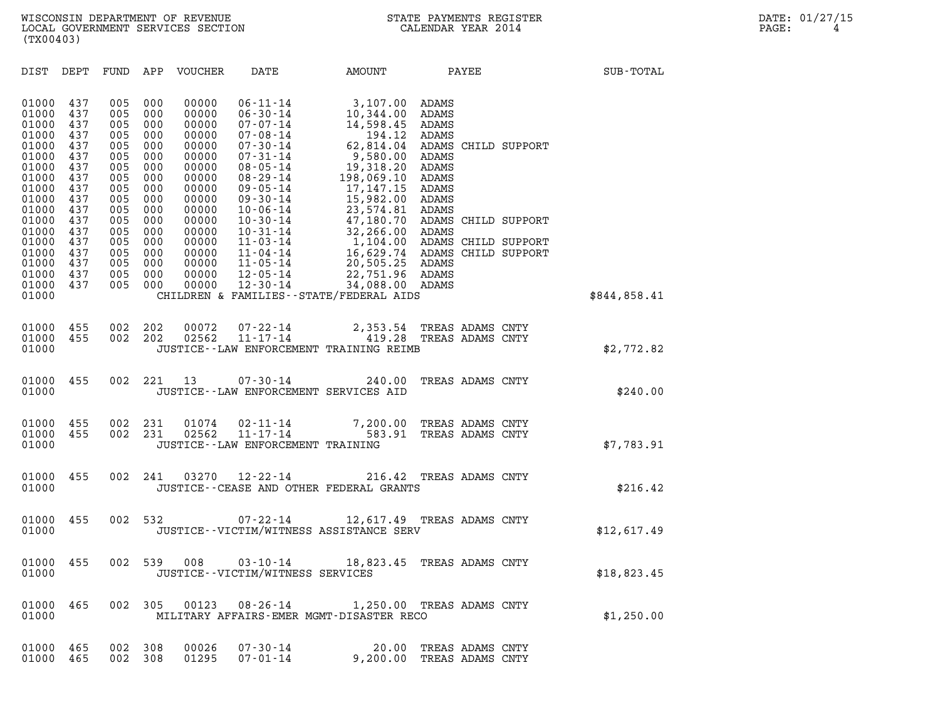| (TX00403)                                                                                                                                                      |                                                                                                                            |                                                                                                                            |                                                                                                                            |                                                                                                                                                                |                                                                                                                                                                                                                                                                                                                                  |                                                                                                                                                                                                                                           |                                                                                                                          |                                                                                          |              |
|----------------------------------------------------------------------------------------------------------------------------------------------------------------|----------------------------------------------------------------------------------------------------------------------------|----------------------------------------------------------------------------------------------------------------------------|----------------------------------------------------------------------------------------------------------------------------|----------------------------------------------------------------------------------------------------------------------------------------------------------------|----------------------------------------------------------------------------------------------------------------------------------------------------------------------------------------------------------------------------------------------------------------------------------------------------------------------------------|-------------------------------------------------------------------------------------------------------------------------------------------------------------------------------------------------------------------------------------------|--------------------------------------------------------------------------------------------------------------------------|------------------------------------------------------------------------------------------|--------------|
| DIST                                                                                                                                                           | DEPT                                                                                                                       | FUND                                                                                                                       | APP                                                                                                                        | VOUCHER                                                                                                                                                        | DATE                                                                                                                                                                                                                                                                                                                             | AMOUNT                                                                                                                                                                                                                                    | PAYEE                                                                                                                    |                                                                                          | SUB-TOTAL    |
| 01000<br>01000<br>01000<br>01000<br>01000<br>01000<br>01000<br>01000<br>01000<br>01000<br>01000<br>01000<br>01000<br>01000<br>01000<br>01000<br>01000<br>01000 | 437<br>437<br>437<br>437<br>437<br>437<br>437<br>437<br>437<br>437<br>437<br>437<br>437<br>437<br>437<br>437<br>437<br>437 | 005<br>005<br>005<br>005<br>005<br>005<br>005<br>005<br>005<br>005<br>005<br>005<br>005<br>005<br>005<br>005<br>005<br>005 | 000<br>000<br>000<br>000<br>000<br>000<br>000<br>000<br>000<br>000<br>000<br>000<br>000<br>000<br>000<br>000<br>000<br>000 | 00000<br>00000<br>00000<br>00000<br>00000<br>00000<br>00000<br>00000<br>00000<br>00000<br>00000<br>00000<br>00000<br>00000<br>00000<br>00000<br>00000<br>00000 | $06 - 11 - 14$<br>$06 - 30 - 14$<br>$07 - 07 - 14$<br>$07 - 08 - 14$<br>$07 - 30 - 14$<br>$07 - 31 - 14$<br>$08 - 05 - 14$<br>$08 - 29 - 14$<br>$09 - 05 - 14$<br>$09 - 30 - 14$<br>$10 - 06 - 14$<br>$10 - 30 - 14$<br>$10 - 31 - 14$<br>$11 - 03 - 14$<br>$11 - 04 - 14$<br>$11 - 05 - 14$<br>$12 - 05 - 14$<br>$12 - 30 - 14$ | 3,107.00<br>10,344.00<br>14,598.45<br>194.12<br>62,814.04<br>9,580.00<br>19,318.20<br>198,069.10<br>17, 147. 15<br>15,982.00<br>23,574.81<br>47,180.70<br>32,266.00<br>1,104.00<br>16,629.74<br>20,505.25<br>22,751.96<br>34,088.00 ADAMS | ADAMS<br>ADAMS<br><b>ADAMS</b><br>ADAMS<br>ADAMS<br>ADAMS<br>ADAMS<br>ADAMS<br>ADAMS<br>ADAMS<br>ADAMS<br>ADAMS<br>ADAMS | ADAMS CHILD SUPPORT<br>ADAMS CHILD SUPPORT<br>ADAMS CHILD SUPPORT<br>ADAMS CHILD SUPPORT |              |
| 01000                                                                                                                                                          |                                                                                                                            |                                                                                                                            |                                                                                                                            |                                                                                                                                                                |                                                                                                                                                                                                                                                                                                                                  | CHILDREN & FAMILIES - - STATE/FEDERAL AIDS                                                                                                                                                                                                |                                                                                                                          |                                                                                          | \$844,858.41 |
| 01000<br>01000<br>01000                                                                                                                                        | 455<br>455                                                                                                                 | 002<br>002                                                                                                                 | 202<br>202                                                                                                                 | 00072<br>02562                                                                                                                                                 | $07 - 22 - 14$<br>$11 - 17 - 14$                                                                                                                                                                                                                                                                                                 | 2,353.54<br>419.28<br>JUSTICE--LAW ENFORCEMENT TRAINING REIMB                                                                                                                                                                             | TREAS ADAMS CNTY<br>TREAS ADAMS CNTY                                                                                     |                                                                                          | \$2,772.82   |
| 01000<br>01000                                                                                                                                                 | 455                                                                                                                        | 002                                                                                                                        | 221                                                                                                                        | 13                                                                                                                                                             | $07 - 30 - 14$<br>JUSTICE -- LAW ENFORCEMENT SERVICES AID                                                                                                                                                                                                                                                                        | 240.00                                                                                                                                                                                                                                    | TREAS ADAMS CNTY                                                                                                         |                                                                                          | \$240.00     |
| 01000<br>01000<br>01000                                                                                                                                        | 455<br>455                                                                                                                 | 002<br>002                                                                                                                 | 231<br>231                                                                                                                 | 01074<br>02562                                                                                                                                                 | $02 - 11 - 14$<br>$11 - 17 - 14$<br>JUSTICE - - LAW ENFORCEMENT TRAINING                                                                                                                                                                                                                                                         | 7,200.00<br>583.91                                                                                                                                                                                                                        | TREAS ADAMS CNTY<br>TREAS ADAMS CNTY                                                                                     |                                                                                          | \$7,783.91   |
| 01000<br>01000                                                                                                                                                 | 455                                                                                                                        | 002                                                                                                                        | 241                                                                                                                        | 03270                                                                                                                                                          | $12 - 22 - 14$                                                                                                                                                                                                                                                                                                                   | 216.42<br>JUSTICE -- CEASE AND OTHER FEDERAL GRANTS                                                                                                                                                                                       | TREAS ADAMS CNTY                                                                                                         |                                                                                          | \$216.42     |
| 01000<br>01000                                                                                                                                                 | 455                                                                                                                        | 002                                                                                                                        | 532                                                                                                                        |                                                                                                                                                                | $07 - 22 - 14$                                                                                                                                                                                                                                                                                                                   | 12,617.49 TREAS ADAMS CNTY<br>JUSTICE - - VICTIM/WITNESS ASSISTANCE SERV                                                                                                                                                                  |                                                                                                                          |                                                                                          | \$12,617.49  |
| 01000<br>01000                                                                                                                                                 | 455                                                                                                                        | 002                                                                                                                        | 539                                                                                                                        | 008                                                                                                                                                            | $03 - 10 - 14$<br>JUSTICE - - VICTIM/WITNESS SERVICES                                                                                                                                                                                                                                                                            | 18,823.45                                                                                                                                                                                                                                 | TREAS ADAMS CNTY                                                                                                         |                                                                                          | \$18,823.45  |
| 01000<br>01000                                                                                                                                                 | 465                                                                                                                        | 002                                                                                                                        | 305                                                                                                                        | 00123                                                                                                                                                          |                                                                                                                                                                                                                                                                                                                                  | 08-26-14 1,250.00 TREAS ADAMS CNTY<br>MILITARY AFFAIRS-EMER MGMT-DISASTER RECO                                                                                                                                                            |                                                                                                                          |                                                                                          | \$1,250.00   |
| 01000<br>01000                                                                                                                                                 | 465<br>465                                                                                                                 | 002<br>002                                                                                                                 | 308<br>308                                                                                                                 | 00026<br>01295                                                                                                                                                 | 07-30-14<br>07-01-14                                                                                                                                                                                                                                                                                                             | 9,200.00 TREAS ADAMS CNTY                                                                                                                                                                                                                 | 20.00 TREAS ADAMS CNTY                                                                                                   |                                                                                          |              |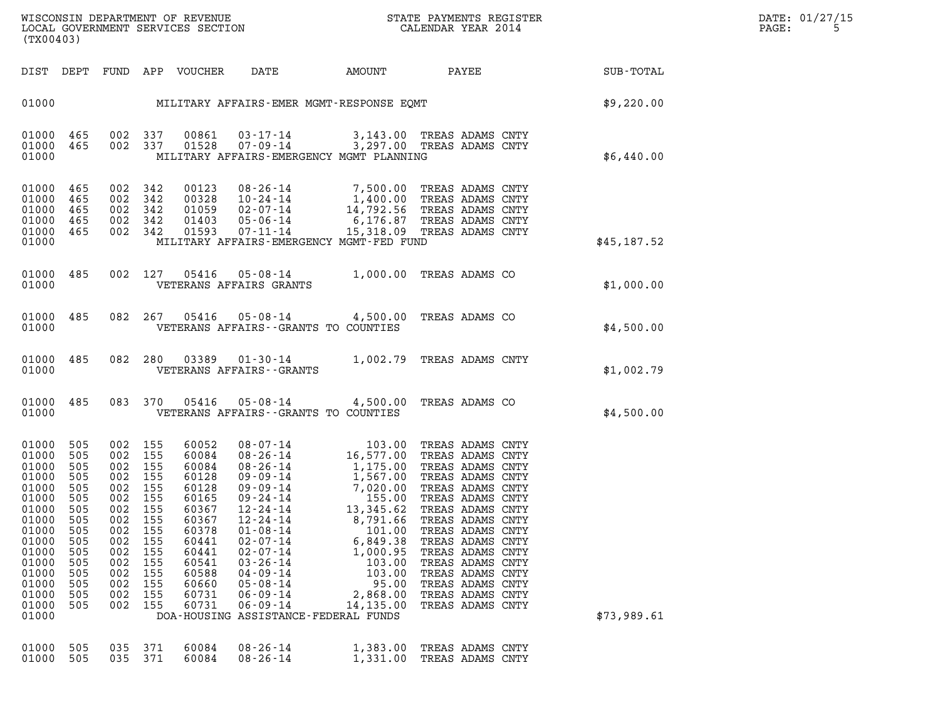|       | DATE: 01/27/15 |
|-------|----------------|
| PAGE: | -5             |

| (TX00403)                                                                                                                                                 |                                                                                                       |                                                                                                                                          |                                                             |                                                                                                                                              |                                                                                                                                                                                                                                                                                                                                                                                                                                                                  |                                                                                                  |                                                                                                                                                                                  |                        |             | DATE: 01/27/15<br>PAGE:<br>5 |
|-----------------------------------------------------------------------------------------------------------------------------------------------------------|-------------------------------------------------------------------------------------------------------|------------------------------------------------------------------------------------------------------------------------------------------|-------------------------------------------------------------|----------------------------------------------------------------------------------------------------------------------------------------------|------------------------------------------------------------------------------------------------------------------------------------------------------------------------------------------------------------------------------------------------------------------------------------------------------------------------------------------------------------------------------------------------------------------------------------------------------------------|--------------------------------------------------------------------------------------------------|----------------------------------------------------------------------------------------------------------------------------------------------------------------------------------|------------------------|-------------|------------------------------|
|                                                                                                                                                           |                                                                                                       |                                                                                                                                          |                                                             | DIST DEPT FUND APP VOUCHER                                                                                                                   | DATE                                                                                                                                                                                                                                                                                                                                                                                                                                                             |                                                                                                  |                                                                                                                                                                                  | AMOUNT PAYEE SUB-TOTAL |             |                              |
|                                                                                                                                                           |                                                                                                       |                                                                                                                                          |                                                             |                                                                                                                                              | 01000 MILITARY AFFAIRS-EMER MGMT-RESPONSE EQMT STATE (\$9,220.00                                                                                                                                                                                                                                                                                                                                                                                                 |                                                                                                  |                                                                                                                                                                                  |                        |             |                              |
| 01000 465<br>01000 465<br>01000                                                                                                                           |                                                                                                       |                                                                                                                                          | 002 337<br>002 337                                          |                                                                                                                                              | 00861  03-17-14  3,143.00 TREAS ADAMS CNTY<br>01528  07-09-14  3,297.00 TREAS ADAMS CNTY<br>MILITARY AFFAIRS-EMERGENCY MGMT PLANNING                                                                                                                                                                                                                                                                                                                             |                                                                                                  |                                                                                                                                                                                  |                        | \$6,440.00  |                              |
| 01000 465<br>01000<br>01000<br>01000<br>01000 465<br>01000                                                                                                | 465<br>465<br>465                                                                                     | 002 342<br>002 342<br>002 342<br>002 342<br>002 342                                                                                      |                                                             | 00123<br>00328<br>01059<br>01403<br>01593                                                                                                    | 08-26-14 7,500.00 TREAS ADAMS CNTY<br>10-24-14 1,400.00 TREAS ADAMS CNTY<br>02-07-14 14,792.56 TREAS ADAMS CNTY<br>05-06-14 6,176.87 TREAS ADAMS CNTY<br>$07 - 11 - 14$<br>MILITARY AFFAIRS-EMERGENCY MGMT-FED FUND                                                                                                                                                                                                                                              |                                                                                                  | 15,318.09 TREAS ADAMS CNTY                                                                                                                                                       |                        | \$45,187.52 |                              |
| 01000 485<br>01000                                                                                                                                        |                                                                                                       |                                                                                                                                          |                                                             |                                                                                                                                              | 002 127 05416 05-08-14 1,000.00 TREAS ADAMS CO<br>VETERANS AFFAIRS GRANTS                                                                                                                                                                                                                                                                                                                                                                                        |                                                                                                  |                                                                                                                                                                                  |                        | \$1,000.00  |                              |
| 01000 485<br>01000                                                                                                                                        |                                                                                                       |                                                                                                                                          | 082 267                                                     |                                                                                                                                              | 05416  05-08-14  4,500.00 TREAS ADAMS CO<br>VETERANS AFFAIRS -- GRANTS TO COUNTIES                                                                                                                                                                                                                                                                                                                                                                               |                                                                                                  |                                                                                                                                                                                  |                        | \$4,500.00  |                              |
| 01000 485<br>01000                                                                                                                                        |                                                                                                       |                                                                                                                                          | 082 280                                                     | 03389                                                                                                                                        | 01-30-14 1,002.79 TREAS ADAMS CNTY<br>VETERANS AFFAIRS - - GRANTS                                                                                                                                                                                                                                                                                                                                                                                                |                                                                                                  |                                                                                                                                                                                  |                        | \$1,002.79  |                              |
| 01000 485<br>01000                                                                                                                                        |                                                                                                       |                                                                                                                                          |                                                             |                                                                                                                                              | 083 370 05416 05-08-14 4,500.00 TREAS ADAMS CO<br>VETERANS AFFAIRS -- GRANTS TO COUNTIES                                                                                                                                                                                                                                                                                                                                                                         |                                                                                                  |                                                                                                                                                                                  |                        | \$4,500.00  |                              |
| 01000 505<br>01000<br>01000<br>01000<br>01000<br>01000<br>01000<br>01000<br>01000<br>01000<br>01000<br>01000<br>01000<br>01000<br>01000<br>01000<br>01000 | 505<br>505<br>505<br>505<br>505<br>505<br>505<br>505<br>505<br>505<br>505<br>505<br>505<br>505<br>505 | 002 155<br>002<br>002 155<br>002 155<br>002 155<br>002 155<br>002 155<br>002<br>002<br>002<br>002<br>002<br>002<br>002<br>002<br>002 155 | 155<br>155<br>155<br>155<br>155<br>155<br>155<br>155<br>155 | 60052<br>60084<br>60084<br>60128<br>60128<br>60165<br>60367<br>60367<br>60378<br>60441<br>60441<br>60541<br>60588<br>60660<br>60731<br>60731 | 08-07-14<br>08-26-14<br>16,577.00 TREAS ADAMS CNTY<br>08-26-14<br>16,577.00 TREAS ADAMS CNTY<br>09-09-14<br>1,567.00 TREAS ADAMS CNTY<br>09-09-14<br>7,020.00 TREAS ADAMS CNTY<br>09-24-14<br>13,345.62 TREAS ADAMS CNTY<br>12-24-14<br>13,345.62 TREA<br>$12 - 24 - 14$<br>$01 - 08 - 14$<br>$02 - 07 - 14$<br>$02 - 07 - 14$<br>$03 - 26 - 14$<br>$04 - 09 - 14$<br>$05 - 08 - 14$<br>$06 - 09 - 14$<br>$06 - 09 - 14$<br>DOA-HOUSING ASSISTANCE-FEDERAL FUNDS | 8,791.66<br>101.00<br>6,849.38<br>1,000.95<br>103.00<br>103.00<br>95.00<br>2,868.00<br>14,135.00 | TREAS ADAMS CNTY<br>TREAS ADAMS CNTY<br>TREAS ADAMS CNTY<br>TREAS ADAMS CNTY<br>TREAS ADAMS CNTY<br>TREAS ADAMS CNTY<br>TREAS ADAMS CNTY<br>TREAS ADAMS CNTY<br>TREAS ADAMS CNTY |                        | \$73,989.61 |                              |
| 01000<br>01000                                                                                                                                            | 505<br>505                                                                                            | 035<br>035 371                                                                                                                           | 371                                                         | 60084<br>60084                                                                                                                               | $08 - 26 - 14$<br>$08 - 26 - 14$                                                                                                                                                                                                                                                                                                                                                                                                                                 | 1,383.00<br>1,331.00                                                                             | TREAS ADAMS CNTY<br>TREAS ADAMS CNTY                                                                                                                                             |                        |             |                              |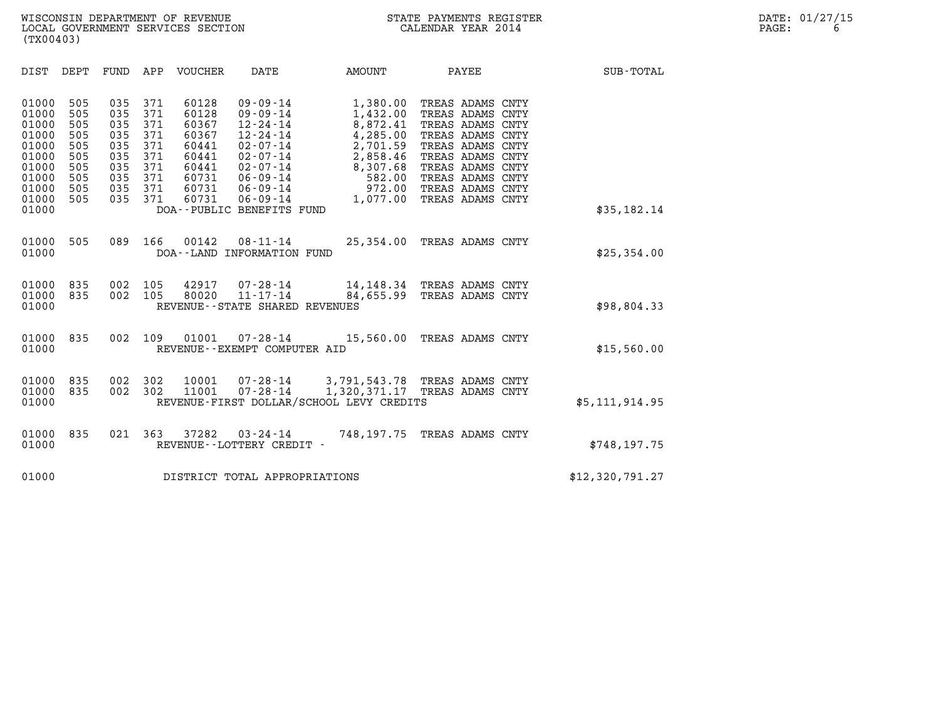| (TX00403)                                                                                                                                                             |                                                                    |                                                                    |                                                                                        |                                                                                                                                                                                                               |                                                                                                                  |                                                                                                                                                                                                      |                  |  |
|-----------------------------------------------------------------------------------------------------------------------------------------------------------------------|--------------------------------------------------------------------|--------------------------------------------------------------------|----------------------------------------------------------------------------------------|---------------------------------------------------------------------------------------------------------------------------------------------------------------------------------------------------------------|------------------------------------------------------------------------------------------------------------------|------------------------------------------------------------------------------------------------------------------------------------------------------------------------------------------------------|------------------|--|
| DIST<br>DEPT                                                                                                                                                          | FUND                                                               | APP                                                                | VOUCHER                                                                                | DATE                                                                                                                                                                                                          | AMOUNT                                                                                                           | PAYEE                                                                                                                                                                                                | <b>SUB-TOTAL</b> |  |
| 01000<br>505<br>01000<br>505<br>01000<br>505<br>01000<br>505<br>01000<br>505<br>01000<br>505<br>01000<br>505<br>01000<br>505<br>01000<br>505<br>01000<br>505<br>01000 | 035<br>035<br>035<br>035<br>035<br>035<br>035<br>035<br>035<br>035 | 371<br>371<br>371<br>371<br>371<br>371<br>371<br>371<br>371<br>371 | 60128<br>60128<br>60367<br>60367<br>60441<br>60441<br>60441<br>60731<br>60731<br>60731 | $09 - 09 - 14$<br>$09 - 09 - 14$<br>$12 - 24 - 14$<br>$12 - 24 - 14$<br>$02 - 07 - 14$<br>$02 - 07 - 14$<br>$02 - 07 - 14$<br>$06 - 09 - 14$<br>$06 - 09 - 14$<br>$06 - 09 - 14$<br>DOA--PUBLIC BENEFITS FUND | 1,380.00<br>1,432.00<br>8,872.41<br>4,285.00<br>2,701.59<br>2,858.46<br>8,307.68<br>582.00<br>972.00<br>1,077.00 | TREAS ADAMS CNTY<br>TREAS ADAMS CNTY<br>TREAS ADAMS CNTY<br>TREAS ADAMS CNTY<br>TREAS ADAMS CNTY<br>TREAS ADAMS CNTY<br>TREAS ADAMS CNTY<br>TREAS ADAMS CNTY<br>TREAS ADAMS CNTY<br>TREAS ADAMS CNTY | \$35,182.14      |  |
| 01000<br>505<br>01000                                                                                                                                                 | 089                                                                | 166                                                                | 00142                                                                                  | $08 - 11 - 14$<br>DOA--LAND INFORMATION FUND                                                                                                                                                                  |                                                                                                                  | 25,354.00 TREAS ADAMS CNTY                                                                                                                                                                           | \$25,354.00      |  |
| 01000<br>835<br>01000<br>835<br>01000                                                                                                                                 | 002<br>002                                                         | 105<br>105                                                         | 42917<br>80020                                                                         | $07 - 28 - 14$<br>$11 - 17 - 14$<br>REVENUE - - STATE SHARED REVENUES                                                                                                                                         | 84,655.99                                                                                                        | 14,148.34 TREAS ADAMS CNTY<br>TREAS ADAMS CNTY                                                                                                                                                       | \$98,804.33      |  |
| 01000<br>835<br>01000                                                                                                                                                 | 002                                                                | 109                                                                | 01001                                                                                  | $07 - 28 - 14$<br>REVENUE--EXEMPT COMPUTER AID                                                                                                                                                                |                                                                                                                  | 15,560.00 TREAS ADAMS CNTY                                                                                                                                                                           | \$15,560.00      |  |
| 01000<br>835<br>01000<br>835<br>01000                                                                                                                                 | 002<br>002                                                         | 302<br>302                                                         | 10001<br>11001                                                                         | $07 - 28 - 14$<br>$07 - 28 - 14$                                                                                                                                                                              | 3,791,543.78 TREAS ADAMS CNTY<br>1,320,371.17<br>REVENUE-FIRST DOLLAR/SCHOOL LEVY CREDITS                        | TREAS ADAMS CNTY                                                                                                                                                                                     | \$5, 111, 914.95 |  |
| 01000<br>835<br>01000                                                                                                                                                 | 021                                                                | 363                                                                | 37282                                                                                  | $03 - 24 - 14$<br>REVENUE - - LOTTERY CREDIT -                                                                                                                                                                |                                                                                                                  | 748,197.75 TREAS ADAMS CNTY                                                                                                                                                                          | \$748, 197.75    |  |
| 01000                                                                                                                                                                 |                                                                    |                                                                    |                                                                                        | DISTRICT TOTAL APPROPRIATIONS                                                                                                                                                                                 |                                                                                                                  |                                                                                                                                                                                                      | \$12,320,791.27  |  |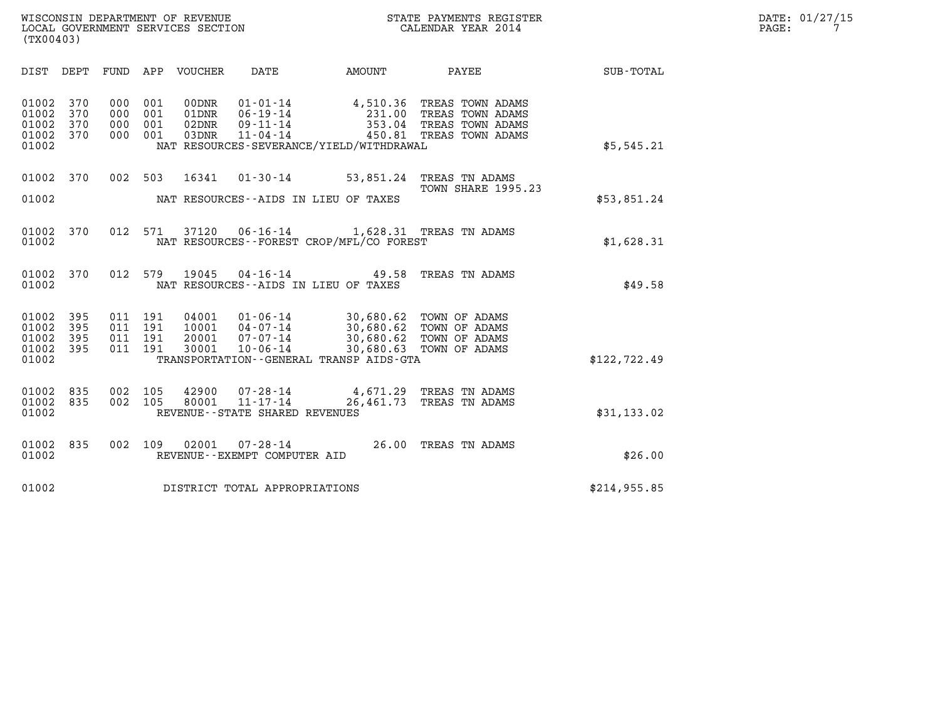| WISCONSIN DEPARTMENT OF REVENUE   | STATE PAYMENTS REGISTER | DATE: 01/27/15 |
|-----------------------------------|-------------------------|----------------|
| LOCAL GOVERNMENT SERVICES SECTION | CALENDAR YEAR 2014      | PAGE:          |

| WISCONSIN DEPARTMENT OF REVENUE<br>LOCAL GOVERNMENT SERVICES SECTION<br>CALENDAR YEAR 2014<br>(TX00403) |            |  |                                          |                                  |                                   |                                                                                                                                                                                                                                                                                                                                                                                    |                                                                                                                                                |               | DATE: 01/27/15<br>PAGE:<br>$7\overline{ }$ |
|---------------------------------------------------------------------------------------------------------|------------|--|------------------------------------------|----------------------------------|-----------------------------------|------------------------------------------------------------------------------------------------------------------------------------------------------------------------------------------------------------------------------------------------------------------------------------------------------------------------------------------------------------------------------------|------------------------------------------------------------------------------------------------------------------------------------------------|---------------|--------------------------------------------|
|                                                                                                         |            |  |                                          |                                  |                                   |                                                                                                                                                                                                                                                                                                                                                                                    | DIST DEPT FUND APP VOUCHER DATE AMOUNT PAYEE SUB-TOTAL                                                                                         |               |                                            |
| 01002 370<br>01002<br>01002<br>01002 370<br>01002                                                       | 370<br>370 |  | 000 001<br>000 001<br>000 001<br>000 001 | 00DNR<br>01DNR<br>02DNR<br>03DNR |                                   | NAT RESOURCES-SEVERANCE/YIELD/WITHDRAWAL                                                                                                                                                                                                                                                                                                                                           | 01-01-14 4,510.36 TREAS TOWN ADAMS<br>06-19-14 231.00 TREAS TOWN ADAMS<br>09-11-14 353.04 TREAS TOWN ADAMS<br>11-04-14 450.81 TREAS TOWN ADAMS | \$5,545.21    |                                            |
| 01002                                                                                                   |            |  |                                          |                                  |                                   | 01002 370 002 503 16341 01-30-14 53,851.24 TREAS TN ADAMS<br>NAT RESOURCES--AIDS IN LIEU OF TAXES                                                                                                                                                                                                                                                                                  | TOWN SHARE 1995.23                                                                                                                             | \$53,851.24   |                                            |
| 01002                                                                                                   | 01002 370  |  |                                          |                                  |                                   | 012 571 37120 06-16-14 1,628.31 TREAS TN ADAMS<br>NAT RESOURCES -- FOREST CROP/MFL/CO FOREST                                                                                                                                                                                                                                                                                       |                                                                                                                                                | \$1,628.31    |                                            |
| 01002                                                                                                   | 01002 370  |  |                                          |                                  |                                   | 012 579 19045 04-16-14 49.58 TREAS TN ADAMS<br>NAT RESOURCES--AIDS IN LIEU OF TAXES                                                                                                                                                                                                                                                                                                |                                                                                                                                                | \$49.58       |                                            |
| 01002<br>01002<br>01002 395<br>01002 395<br>01002                                                       | 395<br>395 |  |                                          |                                  |                                   | $\begin{array}{cccc} 011 & 191 & 04001 & 01\cdot 06\cdot 14 & 30\, ,680\, .62 & \text{TOWN OF ADAMS} \\ 011 & 191 & 10001 & 04\cdot 07\cdot 14 & 30\, ,680\, .62 & \text{TOWN OF ADAMS} \\ 011 & 191 & 20001 & 07\cdot 07\cdot 14 & 30\, ,680\, .62 & \text{TOWN OF ADAMS} \\ 011 & 191 & 30001 & 10\cdot 06\cdot 14 & 30\, ,680\, .63$<br>TRANSPORTATION--GENERAL TRANSP AIDS-GTA |                                                                                                                                                | \$122, 722.49 |                                            |
| 01002 835<br>01002 835<br>01002                                                                         |            |  |                                          |                                  | REVENUE - - STATE SHARED REVENUES | 002 105 42900 07-28-14 4,671.29 TREAS TN ADAMS<br>002 105 80001 11-17-14 26,461.73 TREAS TN ADAMS                                                                                                                                                                                                                                                                                  |                                                                                                                                                | \$31,133.02   |                                            |
| 01002                                                                                                   | 01002 835  |  |                                          |                                  | REVENUE--EXEMPT COMPUTER AID      | 002 109 02001 07-28-14 26.00 TREAS TN ADAMS                                                                                                                                                                                                                                                                                                                                        |                                                                                                                                                | \$26.00       |                                            |
| 01002                                                                                                   |            |  |                                          |                                  | DISTRICT TOTAL APPROPRIATIONS     |                                                                                                                                                                                                                                                                                                                                                                                    |                                                                                                                                                | \$214,955.85  |                                            |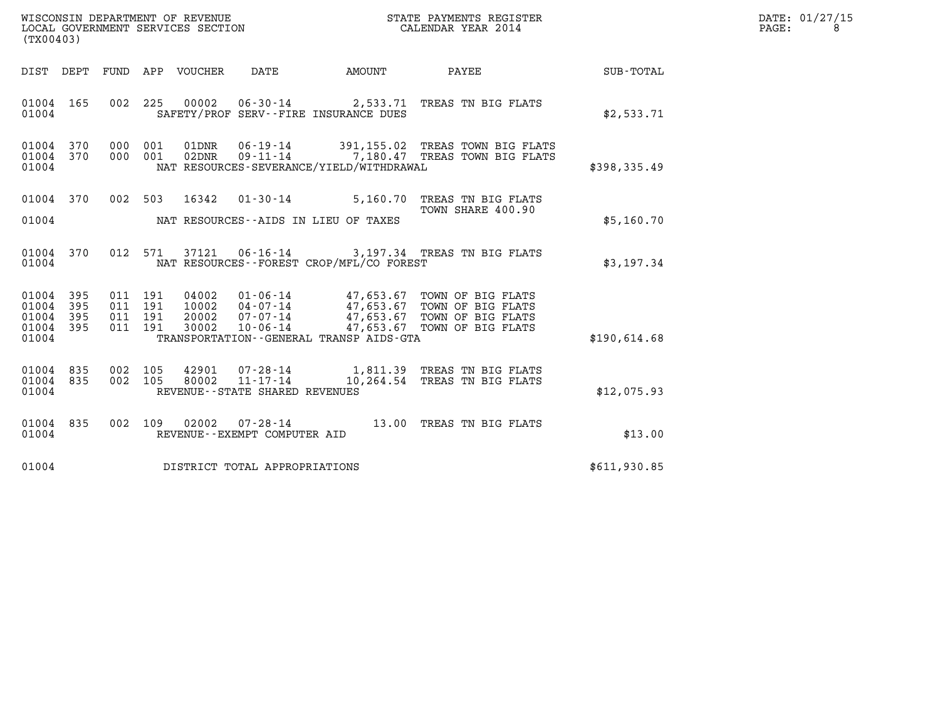| WISCONSIN DEPARTMENT OF REVENUE   | STATE PAYMENTS REGISTER | DATE: 01/27/15 |
|-----------------------------------|-------------------------|----------------|
| LOCAL GOVERNMENT SERVICES SECTION | CALENDAR YEAR 2014      | PAGE:          |

| (TX00403)                                                 |  |  |                                     |                                            | WISCONSIN DEPARTMENT OF REVENUE<br>LOCAL GOVERNMENT SERVICES SECTION<br>CALENDAR YEAR 2014                                                                                                                                                                                                            |              | DATE: 01/27/15<br>$\mathtt{PAGE:}$<br>8 |
|-----------------------------------------------------------|--|--|-------------------------------------|--------------------------------------------|-------------------------------------------------------------------------------------------------------------------------------------------------------------------------------------------------------------------------------------------------------------------------------------------------------|--------------|-----------------------------------------|
|                                                           |  |  |                                     |                                            | DIST DEPT FUND APP VOUCHER DATE AMOUNT PAYEE                                                                                                                                                                                                                                                          | SUB-TOTAL    |                                         |
| 01004 165<br>01004                                        |  |  |                                     | SAFETY/PROF SERV--FIRE INSURANCE DUES      | 002 225 00002 06-30-14 2,533.71 TREAS TN BIG FLATS                                                                                                                                                                                                                                                    | \$2,533.71   |                                         |
| 01004 370<br>01004 370<br>01004                           |  |  |                                     | NAT RESOURCES-SEVERANCE/YIELD/WITHDRAWAL   | 000 001 01DNR 06-19-14 391,155.02 TREAS TOWN BIG FLATS<br>000 001 02DNR 09-11-14 7,180.47 TREAS TOWN BIG FLATS                                                                                                                                                                                        | \$398,335.49 |                                         |
|                                                           |  |  |                                     | 01004 MAT RESOURCES--AIDS IN LIEU OF TAXES | 01004 370 002 503 16342 01-30-14 5,160.70 TREAS TN BIG FLATS<br>TOWN SHARE 400.90                                                                                                                                                                                                                     | \$5,160.70   |                                         |
| 01004 370<br>01004                                        |  |  |                                     | NAT RESOURCES--FOREST CROP/MFL/CO FOREST   | 012 571 37121 06-16-14 3,197.34 TREAS TN BIG FLATS                                                                                                                                                                                                                                                    | \$3,197.34   |                                         |
| 01004 395<br>01004 395<br>01004 395<br>01004 395<br>01004 |  |  |                                     | TRANSPORTATION--GENERAL TRANSP AIDS-GTA    | $\begin{tabular}{cccc} 011 & 191 & 04002 & 01-06-14 & 47,653.67 & TOWN OF BIG FLATS \\ 011 & 191 & 10002 & 04-07-14 & 47,653.67 & TOWN OF BIG FLATS \\ 011 & 191 & 20002 & 07-07-14 & 47,653.67 & TOWN OF BIG FLATS \\ 011 & 191 & 30002 & 10-06-14 & 47,653.67 & TOWN OF BIG FLATS \\ \end{tabular}$ | \$190.614.68 |                                         |
| 01004 835<br>01004 835<br>01004                           |  |  | REVENUE--STATE SHARED REVENUES      |                                            | 002 105 42901 07-28-14 1,811.39 TREAS TN BIG FLATS<br>002 105 80002 11-17-14 10,264.54 TREAS TN BIG FLATS                                                                                                                                                                                             | \$12,075.93  |                                         |
| 01004 835<br>01004                                        |  |  | REVENUE--EXEMPT COMPUTER AID        |                                            | 002 109 02002 07-28-14 13.00 TREAS TN BIG FLATS                                                                                                                                                                                                                                                       | \$13.00      |                                         |
|                                                           |  |  | 01004 DISTRICT TOTAL APPROPRIATIONS |                                            |                                                                                                                                                                                                                                                                                                       | \$611,930.85 |                                         |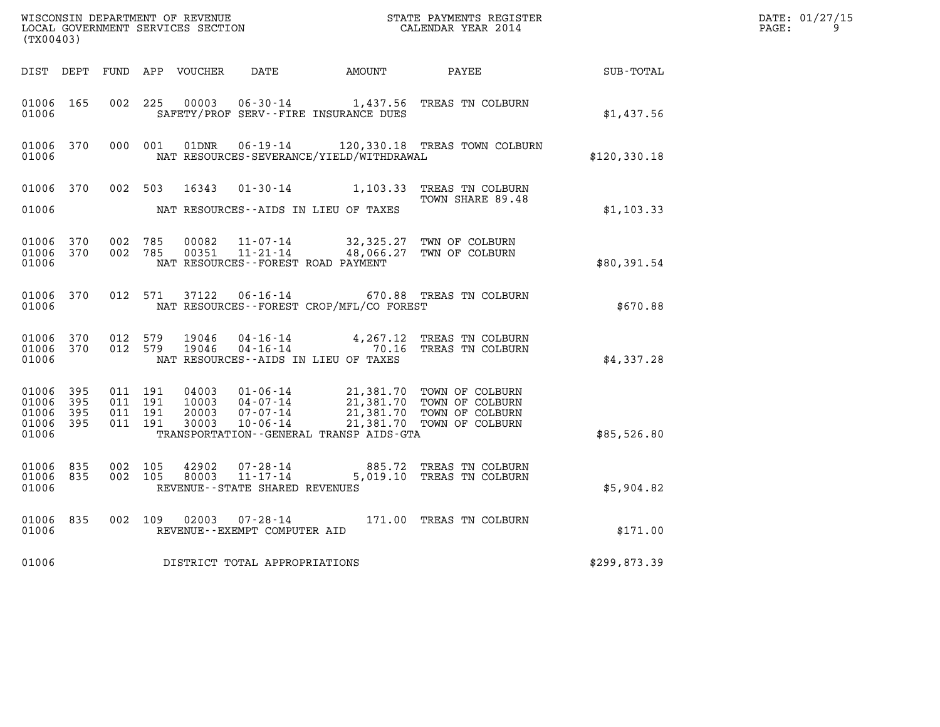| (TX00403)                                     |                     |                                          | WISCONSIN DEPARTMENT OF REVENUE<br>LOCAL GOVERNMENT SERVICES SECTION |                                                                 |                                                                                                      | STATE PAYMENTS REGISTER<br>CALENDAR YEAR 2014                                                          |               | DATE: 01/27/15<br>$\mathtt{PAGE:}$<br>9 |
|-----------------------------------------------|---------------------|------------------------------------------|----------------------------------------------------------------------|-----------------------------------------------------------------|------------------------------------------------------------------------------------------------------|--------------------------------------------------------------------------------------------------------|---------------|-----------------------------------------|
|                                               |                     |                                          | DIST DEPT FUND APP VOUCHER                                           | DATE                                                            | AMOUNT PAYEE                                                                                         |                                                                                                        | SUB-TOTAL     |                                         |
| 01006 165<br>01006                            |                     | 002 225                                  | 00003                                                                |                                                                 | $06 - 30 - 14$ 1,437.56<br>SAFETY/PROF SERV--FIRE INSURANCE DUES                                     | TREAS TN COLBURN                                                                                       | \$1,437.56    |                                         |
| 01006 370<br>01006                            |                     | 000 001                                  | 01DNR                                                                |                                                                 | NAT RESOURCES-SEVERANCE/YIELD/WITHDRAWAL                                                             | 06-19-14 120,330.18 TREAS TOWN COLBURN                                                                 | \$120, 330.18 |                                         |
| 01006 370<br>01006                            |                     | 002 503                                  | 16343                                                                |                                                                 | NAT RESOURCES--AIDS IN LIEU OF TAXES                                                                 | 01-30-14 1,103.33 TREAS TN COLBURN<br>TOWN SHARE 89.48                                                 | \$1,103.33    |                                         |
| 01006 370<br>01006 370<br>01006               |                     | 002 785<br>002 785                       | 00082<br>00351                                                       | 11-07-14<br>11-21-14                                            | 32,325.27<br>48,066.27<br>NAT RESOURCES--FOREST ROAD PAYMENT                                         | TWN OF COLBURN<br>TWN OF COLBURN                                                                       | \$80,391.54   |                                         |
| 01006 370<br>01006                            |                     | 012 571                                  | 37122                                                                | $06 - 16 - 14$                                                  | NAT RESOURCES--FOREST CROP/MFL/CO FOREST                                                             | 670.88 TREAS TN COLBURN                                                                                | \$670.88      |                                         |
| 01006 370<br>01006 370<br>01006               |                     | 012 579<br>012 579                       | 19046<br>19046                                                       |                                                                 | $04 - 16 - 14$<br>$04 - 16 - 14$<br>$04 - 16 - 14$<br>$0.16$<br>NAT RESOURCES--AIDS IN LIEU OF TAXES | 4,267.12 TREAS TN COLBURN<br>TREAS TN COLBURN                                                          | \$4,337.28    |                                         |
| 01006 395<br>01006<br>01006<br>01006<br>01006 | 395<br>395<br>- 395 | 011 191<br>011 191<br>011 191<br>011 191 | 04003<br>10003<br>20003<br>30003                                     | 01-06-14<br>$04 - 07 - 14$<br>$07 - 07 - 14$<br>10-06-14        | 21,381.70<br>TRANSPORTATION - - GENERAL TRANSP AIDS - GTA                                            | 21,381.70 TOWN OF COLBURN<br>21,381.70 TOWN OF COLBURN<br>21,381.70 TOWN OF COLBURN<br>TOWN OF COLBURN | \$85,526.80   |                                         |
| 01006 835<br>01006 835<br>01006               |                     | 002 105<br>002 105                       | 42902<br>80003                                                       | 07-28-14<br>$11 - 17 - 14$<br>REVENUE - - STATE SHARED REVENUES |                                                                                                      | 885.72 TREAS TN COLBURN<br>5,019.10 TREAS TN COLBURN                                                   | \$5,904.82    |                                         |
| 01006 835<br>01006                            |                     | 002 109                                  |                                                                      | REVENUE - - EXEMPT COMPUTER AID                                 |                                                                                                      | 171.00 TREAS TN COLBURN                                                                                | \$171.00      |                                         |
| 01006                                         |                     |                                          |                                                                      | DISTRICT TOTAL APPROPRIATIONS                                   |                                                                                                      |                                                                                                        | \$299,873.39  |                                         |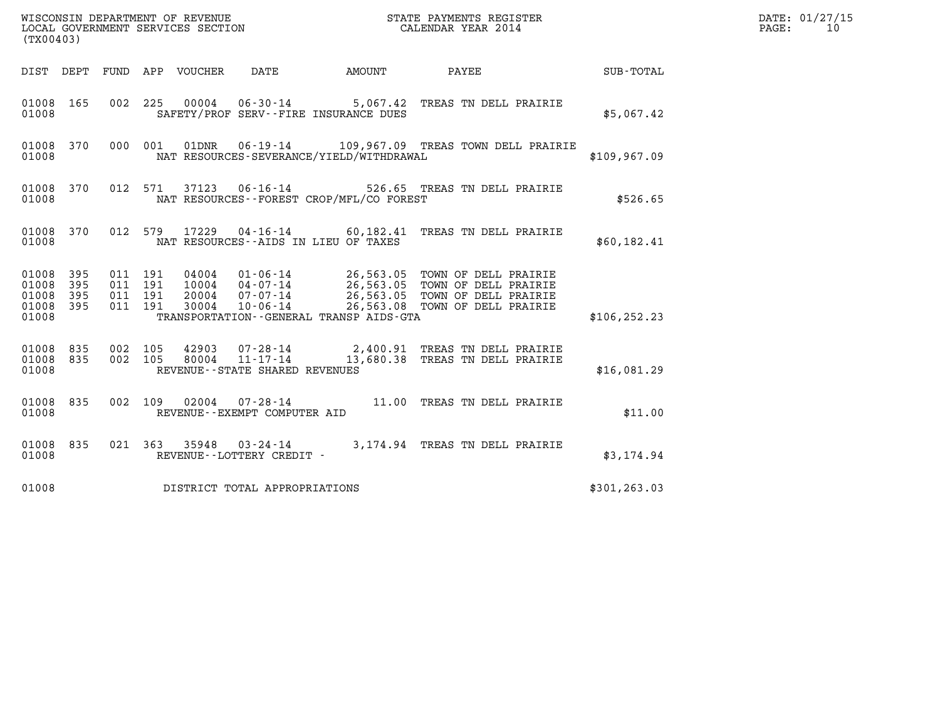| (TX00403)                                                                                                   |                                                                                                                                                                                                                                                              |                                             |               | DATE: 01/27/15<br>PAGE:<br>10 |
|-------------------------------------------------------------------------------------------------------------|--------------------------------------------------------------------------------------------------------------------------------------------------------------------------------------------------------------------------------------------------------------|---------------------------------------------|---------------|-------------------------------|
| DIST DEPT FUND APP VOUCHER                                                                                  | DATE                                                                                                                                                                                                                                                         |                                             |               |                               |
| 01008 165<br>002 225<br>01008                                                                               | 00004  06-30-14  5,067.42  TREAS TN DELL PRAIRIE<br>SAFETY/PROF SERV--FIRE INSURANCE DUES                                                                                                                                                                    |                                             | \$5,067.42    |                               |
| 01008 370<br>000 001<br>01008                                                                               | 01DNR<br>NAT RESOURCES-SEVERANCE/YIELD/WITHDRAWAL                                                                                                                                                                                                            | 06-19-14 109,967.09 TREAS TOWN DELL PRAIRIE | \$109,967.09  |                               |
| 01008 370<br>012 571<br>01008                                                                               | 37123  06-16-14  526.65  TREAS TN DELL PRAIRIE<br>NAT RESOURCES--FOREST CROP/MFL/CO FOREST                                                                                                                                                                   |                                             | \$526.65      |                               |
| 01008 370<br>01008                                                                                          | 012 579 17229 04-16-14 60,182.41 TREAS TN DELL PRAIRIE<br>NAT RESOURCES -- AIDS IN LIEU OF TAXES                                                                                                                                                             |                                             | \$60,182.41   |                               |
| 01008 395<br>011 191<br>01008<br>395<br>011 191<br>01008<br>395<br>011 191<br>01008 395<br>011 191<br>01008 | 04004  01-06-14  26,563.05  TOWN OF DELL PRAIRIE<br>10004  04-07-14  26,563.05  TOWN OF DELL PRAIRIE<br>20004  07-07-14  26,563.05  TOWN OF DELL PRAIRIE<br>30004  10-06-14  26,563.08  TOWN OF DELL PRAIRIE<br>TRANSPORTATION - - GENERAL TRANSP AIDS - GTA |                                             | \$106, 252.23 |                               |
| 002 105<br>01008 835<br>002 105<br>01008 835<br>01008                                                       | 42903  07-28-14  2,400.91 TREAS TN DELL PRAIRIE<br>80004 11-17-14 13,680.38 TREAS TN DELL PRAIRIE<br>REVENUE--STATE SHARED REVENUES                                                                                                                          |                                             | \$16,081.29   |                               |
| 01008 835<br>01008                                                                                          | 002 109 02004 07-28-14 11.00 TREAS TN DELL PRAIRIE<br>REVENUE--EXEMPT COMPUTER AID                                                                                                                                                                           |                                             | \$11.00       |                               |
| 01008 835<br>01008                                                                                          | 021 363 35948 03-24-14 3,174.94 TREAS TN DELL PRAIRIE<br>REVENUE--LOTTERY CREDIT -                                                                                                                                                                           |                                             | \$3,174.94    |                               |
| 01008                                                                                                       | DISTRICT TOTAL APPROPRIATIONS                                                                                                                                                                                                                                |                                             | \$301, 263.03 |                               |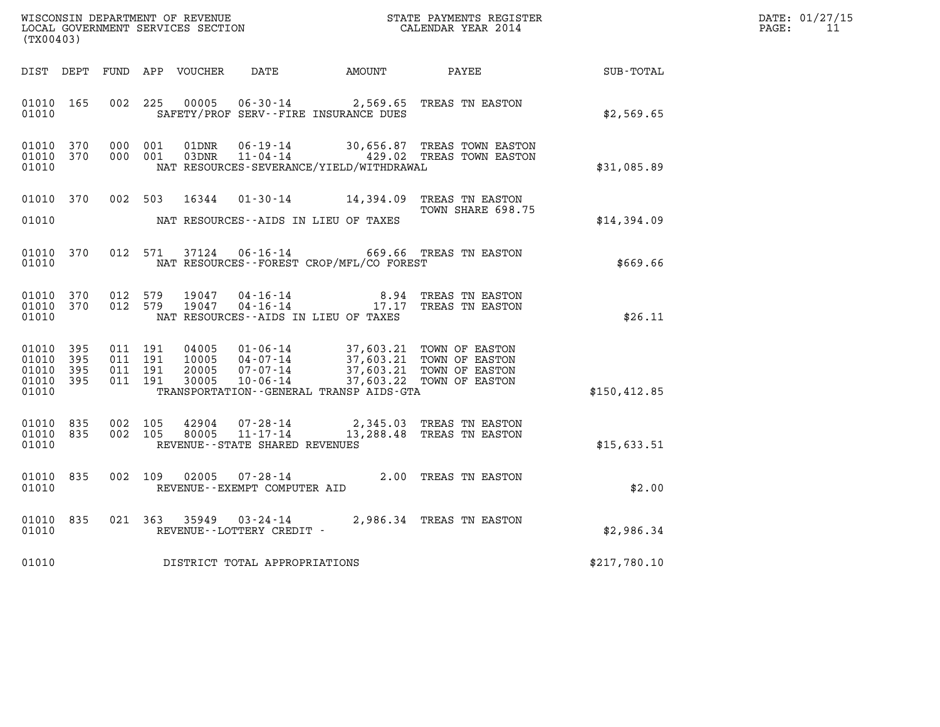|       | DATE: 01/27/15 |
|-------|----------------|
| PAGE: | 11             |

| (TX00403)                                                       | WISCONSIN DEPARTMENT OF REVENUE<br>LOCAL GOVERNMENT SERVICES SECTION<br>CALENDAR YEAR 2014                                                      |                                                                                                                                |               | DATE: 01/27/15<br>PAGE: 11 |
|-----------------------------------------------------------------|-------------------------------------------------------------------------------------------------------------------------------------------------|--------------------------------------------------------------------------------------------------------------------------------|---------------|----------------------------|
|                                                                 | DIST DEPT FUND APP VOUCHER DATE AMOUNT PAYEE SUB-TOTAL                                                                                          |                                                                                                                                |               |                            |
| 01010 165<br>01010                                              | 00005  06-30-14  2,569.65  TREAS TN EASTON<br>002 225<br>SAFETY/PROF SERV--FIRE INSURANCE DUES                                                  |                                                                                                                                | \$2,569.65    |                            |
| 01010<br>370<br>01010 370<br>01010                              | 000 001<br>01DNR<br>000 001<br>03DNR<br>NAT RESOURCES-SEVERANCE/YIELD/WITHDRAWAL                                                                | 06-19-14 30,656.87 TREAS TOWN EASTON<br>11-04-14 429.02 TREAS TOWN EASTON                                                      | \$31,085.89   |                            |
| 01010 370<br>01010                                              | 002 503 16344 01-30-14 14,394.09 TREAS TN EASTON<br>NAT RESOURCES--AIDS IN LIEU OF TAXES                                                        | TOWN SHARE 698.75                                                                                                              | \$14,394.09   |                            |
| 01010 370<br>01010                                              | 012 571<br>37124  06-16-14  669.66  TREAS TN EASTON<br>NAT RESOURCES - - FOREST CROP/MFL/CO FOREST                                              |                                                                                                                                | \$669.66      |                            |
| 01010 370<br>01010 370<br>01010                                 | 012 579<br>19047<br>012 579<br>19047<br>NAT RESOURCES--AIDS IN LIEU OF TAXES                                                                    | 04-16-14<br>04-16-14<br>04-16-14<br>17.17 TREAS TN EASTON                                                                      | \$26.11       |                            |
| 01010<br>395<br>01010<br>395<br>01010 395<br>01010 395<br>01010 | 011 191<br>04005<br>011 191<br>10005<br>011 191<br>20005<br>07-07-14<br>10-06-14<br>011 191<br>30005<br>TRANSPORTATION--GENERAL TRANSP AIDS-GTA | 01-06-14 37,603.21 TOWN OF EASTON<br>04-07-14 37,603.21 TOWN OF EASTON<br>37,603.21 TOWN OF EASTON<br>37,603.22 TOWN OF EASTON | \$150, 412.85 |                            |
| 01010 835<br>01010 835<br>01010                                 | 002 105<br>42904<br>80005<br>$11 - 17 - 14$<br>002 105<br>REVENUE--STATE SHARED REVENUES                                                        | 07-28-14 2,345.03 TREAS TN EASTON<br>13,288.48 TREAS TN EASTON                                                                 | \$15,633.51   |                            |
| 01010<br>835<br>01010                                           | $07 - 28 - 14$<br>002 109<br>02005<br>REVENUE--EXEMPT COMPUTER AID                                                                              | 2.00 TREAS TN EASTON                                                                                                           | \$2.00        |                            |
| 01010<br>835<br>01010                                           | 021 363 35949 03-24-14 2,986.34 TREAS TN EASTON<br>REVENUE--LOTTERY CREDIT -                                                                    |                                                                                                                                | \$2,986.34    |                            |
| 01010                                                           | DISTRICT TOTAL APPROPRIATIONS                                                                                                                   |                                                                                                                                | \$217,780.10  |                            |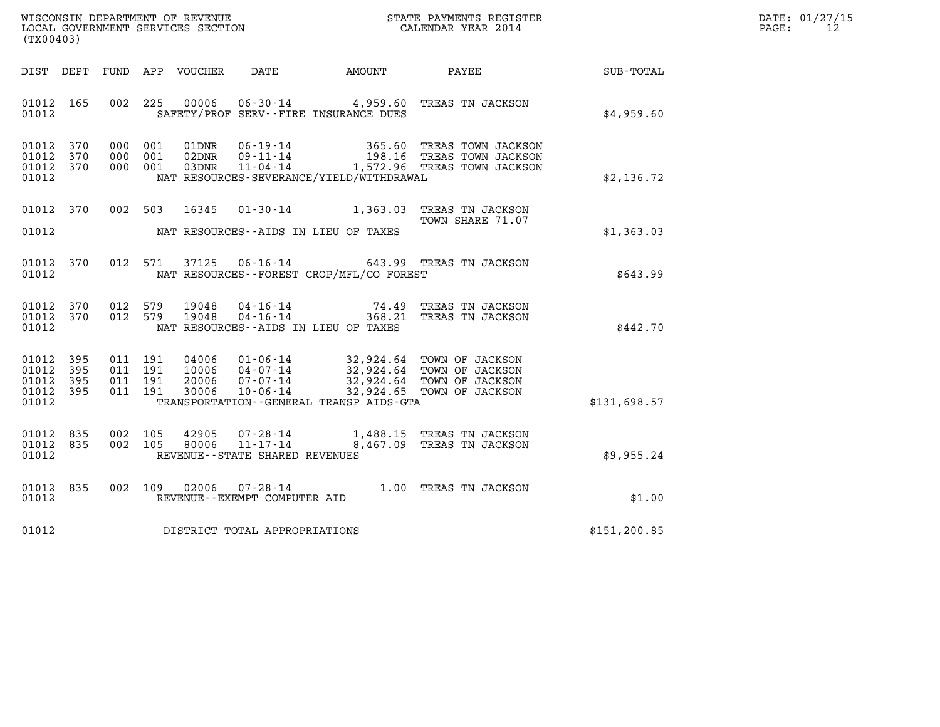| WISCONSIN DEPARTMENT OF REVENUE   | STATE PAYMENTS REGISTER | DATE: 01/27/15 |
|-----------------------------------|-------------------------|----------------|
| LOCAL GOVERNMENT SERVICES SECTION | CALENDAR YEAR 2014      | PAGE:          |

| WISCONSIN DEPARTMENT OF REVENUE<br>LOCAL GOVERNMENT SERVICES SECTION<br>(TX00403)                 |                                                                                                                                                                                 |                                                                                                                           |                  |
|---------------------------------------------------------------------------------------------------|---------------------------------------------------------------------------------------------------------------------------------------------------------------------------------|---------------------------------------------------------------------------------------------------------------------------|------------------|
| FUND<br>DIST<br>DEPT                                                                              | APP<br>VOUCHER<br>DATE                                                                                                                                                          | AMOUNT<br>PAYEE                                                                                                           | <b>SUB-TOTAL</b> |
| 002<br>01012<br>165<br>01012                                                                      | 225<br>00006<br>$06 - 30 - 14$<br>SAFETY/PROF SERV--FIRE INSURANCE DUES                                                                                                         | TREAS TN JACKSON<br>4,959.60                                                                                              | \$4,959.60       |
| 370<br>01012<br>000<br>01012<br>370<br>000<br>01012<br>370<br>000<br>01012                        | $06 - 19 - 14$<br>001<br>01DNR<br>$09 - 11 - 14$<br>001<br>02DNR<br>001<br>03DNR<br>$11 - 04 - 14$<br>NAT RESOURCES-SEVERANCE/YIELD/WITHDRAWAL                                  | 365.60<br>TREAS TOWN JACKSON<br>198.16 TREAS TOWN JACKSON<br>1,572.96 TREAS TOWN JACKSON                                  | \$2,136.72       |
| 01012<br>370<br>002<br>01012                                                                      | 503<br>16345<br>$01 - 30 - 14$<br>NAT RESOURCES - AIDS IN LIEU OF TAXES                                                                                                         | TREAS TN JACKSON<br>1,363.03<br>TOWN SHARE 71.07                                                                          | \$1,363.03       |
| 01012<br>370<br>012<br>01012                                                                      | 571<br>37125<br>$06 - 16 - 14$<br>NAT RESOURCES - - FOREST CROP/MFL/CO FOREST                                                                                                   | 643.99 TREAS TN JACKSON                                                                                                   | \$643.99         |
| 01012<br>370<br>012<br>01012<br>370<br>012<br>01012                                               | 579<br>19048<br>$04 - 16 - 14$<br>579<br>19048<br>$04 - 16 - 14$<br>NAT RESOURCES -- AIDS IN LIEU OF TAXES                                                                      | $74.49$<br>368 21<br>TREAS TN JACKSON<br>368.21<br>TREAS TN JACKSON                                                       | \$442.70         |
| 01012<br>395<br>011<br>01012<br>395<br>011<br>01012<br>395<br>011<br>01012<br>395<br>011<br>01012 | 191<br>04006<br>$01 - 06 - 14$<br>191<br>$04 - 07 - 14$<br>10006<br>20006<br>$07 - 07 - 14$<br>191<br>191<br>30006<br>$10 - 06 - 14$<br>TRANSPORTATION--GENERAL TRANSP AIDS-GTA | 32,924.64<br>TOWN OF JACKSON<br>32,924.64 TOWN OF JACKSON<br>32,924.64<br>TOWN OF JACKSON<br>32,924.65<br>TOWN OF JACKSON | \$131,698.57     |
| 01012<br>835<br>002<br>01012<br>835<br>002<br>01012                                               | 105<br>42905<br>$07 - 28 - 14$<br>$11 - 17 - 14$<br>80006<br>105<br>REVENUE - - STATE SHARED REVENUES                                                                           | 1,488.15<br>TREAS TN JACKSON<br>8,467.09<br>TREAS TN JACKSON                                                              | \$9,955.24       |
| 835<br>002<br>01012<br>01012                                                                      | 109<br>02006<br>$07 - 28 - 14$<br>REVENUE - - EXEMPT COMPUTER AID                                                                                                               | 1.00<br>TREAS TN JACKSON                                                                                                  | \$1.00           |
| 01012                                                                                             | DISTRICT TOTAL APPROPRIATIONS                                                                                                                                                   |                                                                                                                           | \$151, 200.85    |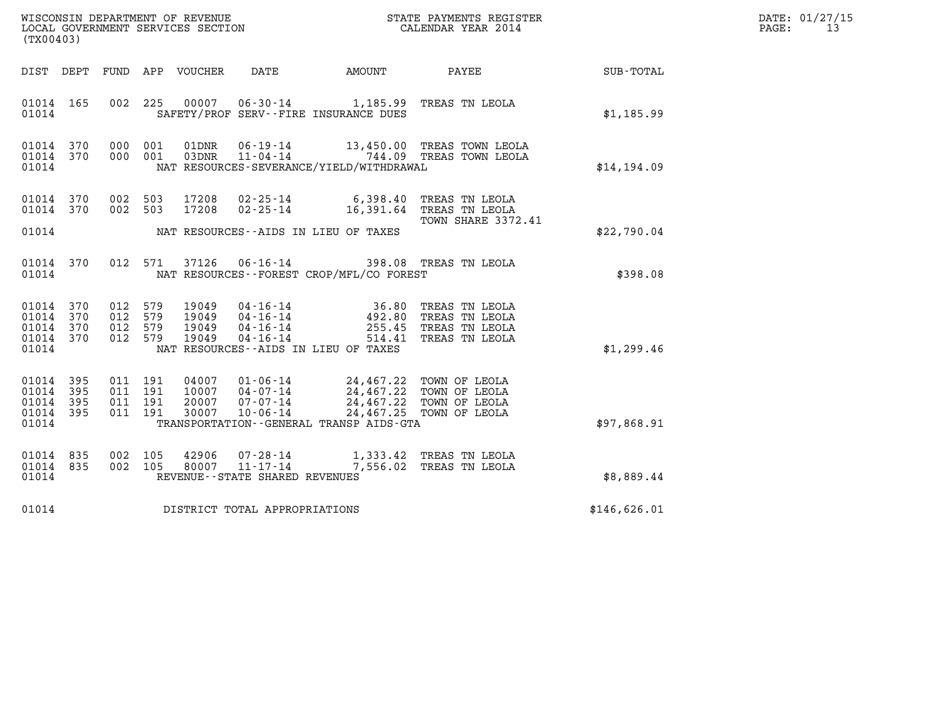| DATE: | 01/27/15 |
|-------|----------|
| PAGE: | 13       |

| WISCONSIN DEPARTMENT OF REVENUE<br>LOCAL GOVERNMENT SERVICES SECTION $\rm CALENDAR$ YEAR 2014<br>(TX00403) |            |                                          | DATE: 01/27/15<br>$\mathtt{PAGE}$ :<br>13 |                                  |                                   |                                                                                                                                                                                                                      |                                                                                                                                                                          |                 |  |
|------------------------------------------------------------------------------------------------------------|------------|------------------------------------------|-------------------------------------------|----------------------------------|-----------------------------------|----------------------------------------------------------------------------------------------------------------------------------------------------------------------------------------------------------------------|--------------------------------------------------------------------------------------------------------------------------------------------------------------------------|-----------------|--|
|                                                                                                            |            |                                          |                                           | DIST DEPT FUND APP VOUCHER DATE  |                                   | <b>AMOUNT</b>                                                                                                                                                                                                        |                                                                                                                                                                          | PAYEE SUB-TOTAL |  |
| 01014 165<br>01014                                                                                         |            |                                          |                                           |                                  |                                   | SAFETY/PROF SERV--FIRE INSURANCE DUES                                                                                                                                                                                | 002 225 00007 06-30-14 1,185.99 TREAS TN LEOLA                                                                                                                           | \$1,185.99      |  |
| 01014 370<br>01014 370<br>01014                                                                            |            |                                          | 000 001<br>000 001                        | 01DNR<br>03DNR                   |                                   | NAT RESOURCES-SEVERANCE/YIELD/WITHDRAWAL                                                                                                                                                                             | 06-19-14 13,450.00 TREAS TOWN LEOLA<br>11-04-14 744.09 TREAS TOWN LEOLA                                                                                                  | \$14,194.09     |  |
| 01014 370<br>01014 370                                                                                     |            | 002 503                                  | 002 503                                   | 17208<br>17208                   |                                   |                                                                                                                                                                                                                      | 02-25-14 6,398.40 TREAS TN LEOLA<br>02-25-14 16,391.64 TREAS TN LEOLA<br>TOWN SHARE 3372.41                                                                              |                 |  |
| 01014                                                                                                      |            |                                          |                                           |                                  |                                   | NAT RESOURCES--AIDS IN LIEU OF TAXES                                                                                                                                                                                 |                                                                                                                                                                          | \$22,790.04     |  |
| 01014 370<br>01014                                                                                         |            |                                          | 012 571                                   |                                  |                                   | NAT RESOURCES--FOREST CROP/MFL/CO FOREST                                                                                                                                                                             | 37126  06-16-14  398.08  TREAS TN LEOLA                                                                                                                                  | \$398.08        |  |
| 01014<br>01014<br>01014 370<br>01014 370<br>01014                                                          | 370<br>370 | 012 579<br>012 579<br>012 579<br>012 579 |                                           | 19049<br>19049<br>19049<br>19049 | $04 - 16 - 14$                    | NAT RESOURCES--AIDS IN LIEU OF TAXES                                                                                                                                                                                 | 04-16-14 36.80 TREAS TN LEOLA<br>04-16-14 492.80 TREAS TN LEOLA<br>04-16-14 255.45 TREAS TN LEOLA<br>514.41 TREAS TN LEOLA                                               | \$1,299.46      |  |
| 01014 395<br>01014<br>01014 395<br>01014 395<br>01014                                                      | 395        | 011 191<br>011 191<br>011 191<br>011 191 |                                           |                                  |                                   | 04007 01-06-14 24,467.22 TOWN OF LEOLA<br>10007 04-07-14 24,467.22 TOWN OF LEOLA<br>20007 07-07-14 24,467.22 TOWN OF LEOLA<br>30007 10-06-14 24,467.25 TOWN OF LEOLA<br>TRANSPORTATION - - GENERAL TRANSP AIDS - GTA |                                                                                                                                                                          | \$97,868.91     |  |
| 01014 835<br>01014 835<br>01014                                                                            |            | 002 105                                  | 002 105                                   |                                  | REVENUE - - STATE SHARED REVENUES |                                                                                                                                                                                                                      | $\begin{array}{cccc} 42906 & 07\text{-}28\text{-}14 & 1,333.42 & \text{TREAS TN LEOLA} \\ 80007 & 11\text{-}17\text{-}14 & 7,556.02 & \text{TREAS TN LEOLA} \end{array}$ | \$8,889.44      |  |
| 01014                                                                                                      |            |                                          |                                           |                                  | DISTRICT TOTAL APPROPRIATIONS     |                                                                                                                                                                                                                      |                                                                                                                                                                          | \$146,626.01    |  |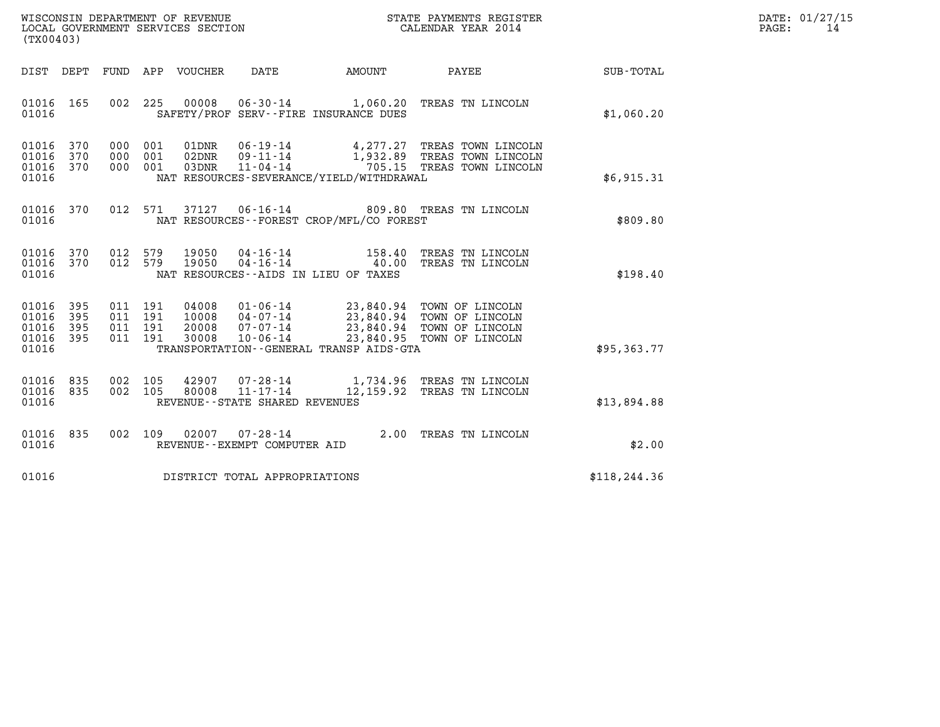| WISCONSIN DEPARTMENT OF REVENUE   | STATE PAYMENTS REGISTER | DATE: 01/27/15 |
|-----------------------------------|-------------------------|----------------|
| LOCAL GOVERNMENT SERVICES SECTION | CALENDAR YEAR 2014      | PAGE:          |

| (TX00403)                                 |                                                      |                                                              |                                                                    |                                                       |                                                                                                        |                  |
|-------------------------------------------|------------------------------------------------------|--------------------------------------------------------------|--------------------------------------------------------------------|-------------------------------------------------------|--------------------------------------------------------------------------------------------------------|------------------|
| DIST                                      | DEPT<br>FUND                                         | APP<br>VOUCHER                                               | <b>DATE</b>                                                        | AMOUNT                                                | PAYEE                                                                                                  | <b>SUB-TOTAL</b> |
| 01016<br>01016                            | 002<br>165                                           | 225<br>00008                                                 | $06 - 30 - 14$                                                     | 1,060.20<br>SAFETY/PROF SERV--FIRE INSURANCE DUES     | TREAS TN LINCOLN                                                                                       | \$1,060.20       |
| 01016<br>01016<br>01016<br>01016          | 370<br>000<br>370<br>000<br>370<br>000               | 001<br>01DNR<br>001<br>02DNR<br>001<br>03DNR                 | 06-19-14<br>$09 - 11 - 14$<br>$11 - 04 - 14$                       | 4,277.27<br>NAT RESOURCES-SEVERANCE/YIELD/WITHDRAWAL  | TREAS TOWN LINCOLN<br>1,932.89 TREAS TOWN LINCOLN<br>705.15 TREAS TOWN LINCOLN                         | \$6,915.31       |
| 01016<br>01016                            | 370<br>012                                           | 571<br>37127                                                 | $06 - 16 - 14$                                                     | 809.80<br>NAT RESOURCES - - FOREST CROP/MFL/CO FOREST | TREAS TN LINCOLN                                                                                       | \$809.80         |
| 01016<br>01016<br>01016                   | 012<br>370<br>370<br>012                             | 579<br>19050<br>579<br>19050                                 | 04-16-14<br>$04 - 16 - 14$<br>NAT RESOURCES--AIDS IN LIEU OF TAXES | 158.40<br>40.00                                       | TREAS TN LINCOLN<br>TREAS TN LINCOLN                                                                   | \$198.40         |
| 01016<br>01016<br>01016<br>01016<br>01016 | 395<br>011<br>395<br>011<br>395<br>011<br>395<br>011 | 191<br>04008<br>191<br>10008<br>191<br>20008<br>191<br>30008 | 01-06-14<br>04-07-14<br>$07 - 07 - 14$<br>$10 - 06 - 14$           | 23,840.95<br>TRANSPORTATION--GENERAL TRANSP AIDS-GTA  | 23,840.94 TOWN OF LINCOLN<br>23,840.94 TOWN OF LINCOLN<br>23,840.94 TOWN OF LINCOLN<br>TOWN OF LINCOLN | \$95,363.77      |
| 01016<br>01016<br>01016                   | 835<br>002<br>835<br>002                             | 105<br>42907<br>105<br>80008                                 | 07-28-14<br>$11 - 17 - 14$<br>REVENUE - - STATE SHARED REVENUES    | 1,734.96                                              | TREAS TN LINCOLN<br>12,159.92 TREAS TN LINCOLN                                                         | \$13,894.88      |
| 01016<br>01016                            | 835<br>002                                           | 109<br>02007                                                 | $07 - 28 - 14$<br>REVENUE--EXEMPT COMPUTER AID                     | 2.00                                                  | TREAS TN LINCOLN                                                                                       | \$2.00           |
| 01016                                     |                                                      |                                                              | DISTRICT TOTAL APPROPRIATIONS                                      |                                                       |                                                                                                        | \$118, 244.36    |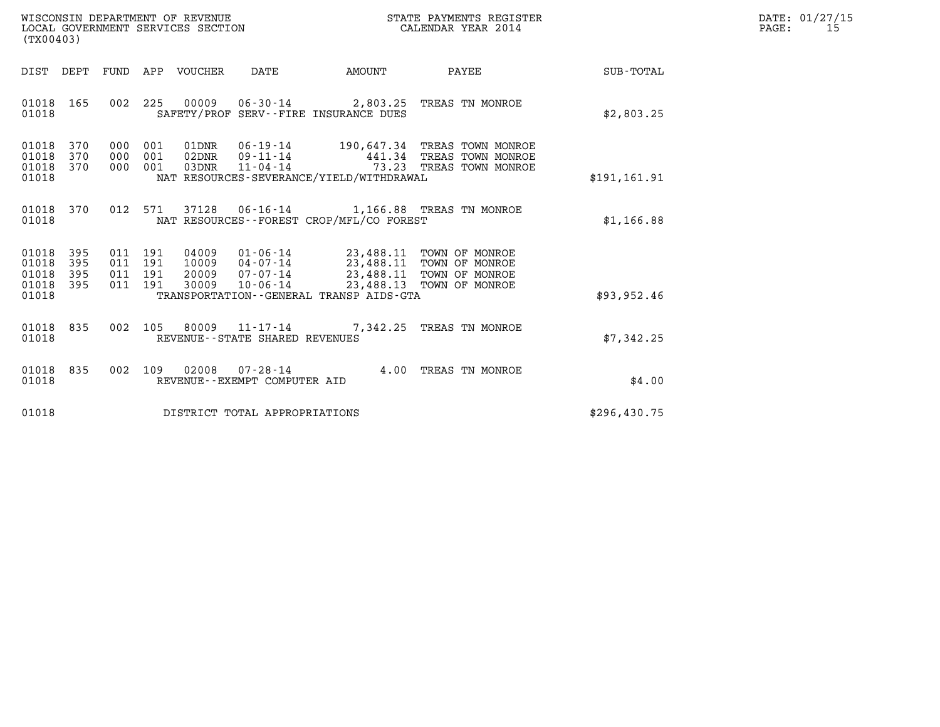| WISCONSIN DEPARTMENT OF REVENUE   | STATE PAYMENTS REGISTER | DATE: 01/27/15 |
|-----------------------------------|-------------------------|----------------|
| LOCAL GOVERNMENT SERVICES SECTION | CALENDAR YEAR 2014      | PAGE:          |

| WISCONSIN DEPARTMENT OF REVENUE<br>LOCAL GOVERNMENT SERVICES SECTION<br>(TX00403)                                                                                                                                  | STATE PAYMENTS REGISTER<br>CALENDAR YEAR 2014                                                                                  |               | DATE: 01/27/15<br>PAGE:<br>15 |
|--------------------------------------------------------------------------------------------------------------------------------------------------------------------------------------------------------------------|--------------------------------------------------------------------------------------------------------------------------------|---------------|-------------------------------|
| DIST DEPT FUND APP VOUCHER DATE                                                                                                                                                                                    | PAYEE<br><b>EXAMPLE TO AMOUNT</b>                                                                                              | SUB-TOTAL     |                               |
| 01018 165<br>SAFETY/PROF SERV--FIRE INSURANCE DUES<br>01018                                                                                                                                                        | 002 225 00009 06-30-14 2,803.25 TREAS TN MONROE                                                                                | \$2,803.25    |                               |
| 01018<br>370<br>000<br>001<br>01DNR<br>01018<br>000<br>001<br>370<br>02DNR<br>001<br>01018 370<br>000<br>03DNR<br>NAT RESOURCES-SEVERANCE/YIELD/WITHDRAWAL<br>01018                                                | 06-19-14 190,647.34 TREAS TOWN MONROE<br>09-11-14<br>11-04-14<br>73.23 TREAS TOWN MONROE                                       | \$191, 161.91 |                               |
| 01018 370<br>01018<br>NAT RESOURCES--FOREST CROP/MFL/CO FOREST                                                                                                                                                     | 012 571 37128 06-16-14 1,166.88 TREAS TN MONROE                                                                                | \$1,166.88    |                               |
| 01018 395<br>011 191<br>04009<br>01018 395<br>011 191<br>10009<br>20009 07-07-14<br>01018<br>395<br>011 191<br>01018 395<br>011 191<br>30009<br>$10 - 06 - 14$<br>01018<br>TRANSPORTATION--GENERAL TRANSP AIDS-GTA | 01-06-14 23,488.11 TOWN OF MONROE<br>04-07-14 23,488.11 TOWN OF MONROE<br>23,488.11 TOWN OF MONROE<br>23,488.13 TOWN OF MONROE | \$93,952.46   |                               |
| 002 105 80009 11-17-14<br>01018 835<br>01018<br>REVENUE - - STATE SHARED REVENUES                                                                                                                                  | 7,342.25 TREAS TN MONROE                                                                                                       | \$7,342.25    |                               |
| 01018 835<br>01018<br>REVENUE--EXEMPT COMPUTER AID                                                                                                                                                                 | 002 109 02008 07-28-14 4.00 TREAS TN MONROE                                                                                    | \$4.00        |                               |
| 01018<br>DISTRICT TOTAL APPROPRIATIONS                                                                                                                                                                             |                                                                                                                                | \$296,430.75  |                               |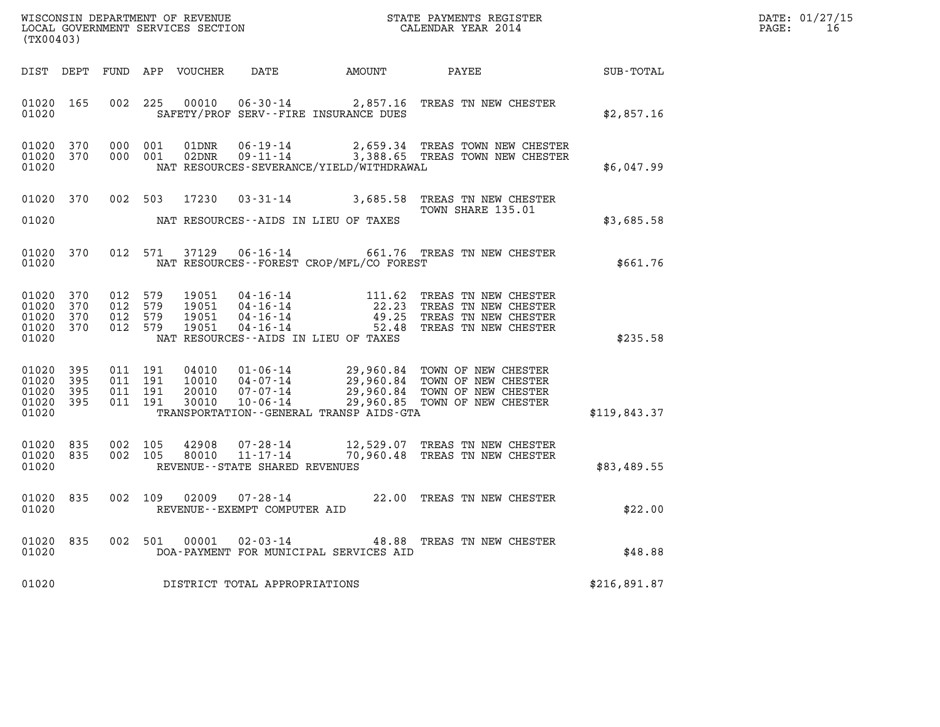| WISCONSIN DEPARTMENT OF REVENUE   | STATE PAYMENTS REGISTER | DATE: 01/27/15 |
|-----------------------------------|-------------------------|----------------|
| LOCAL GOVERNMENT SERVICES SECTION | CALENDAR YEAR 2014      | PAGE:          |

| WISCONSIN DEPARTMENT OF REVENUE<br>LOCAL GOVERNMENT SERVICES SECTION CALENDAR YEAR 2014<br>(TX00403) |                   |                    |                                                        |                                   |                                                                                                                                                                                                                          |                                                                                                                                                                                                          |              | DATE: 01/27/15<br>$\mathtt{PAGE}$ :<br>16 |
|------------------------------------------------------------------------------------------------------|-------------------|--------------------|--------------------------------------------------------|-----------------------------------|--------------------------------------------------------------------------------------------------------------------------------------------------------------------------------------------------------------------------|----------------------------------------------------------------------------------------------------------------------------------------------------------------------------------------------------------|--------------|-------------------------------------------|
| DIST DEPT                                                                                            |                   |                    |                                                        |                                   | FUND APP VOUCHER DATE AMOUNT PAYEE                                                                                                                                                                                       |                                                                                                                                                                                                          | SUB-TOTAL    |                                           |
| 01020 165<br>01020                                                                                   |                   |                    | 002 225<br>00010                                       |                                   | SAFETY/PROF SERV--FIRE INSURANCE DUES                                                                                                                                                                                    | 06-30-14 2,857.16 TREAS TN NEW CHESTER                                                                                                                                                                   | \$2,857.16   |                                           |
| 01020 370<br>01020 370<br>01020                                                                      |                   |                    | 000 001<br>01DNR<br>000 001<br>02DNR                   |                                   | NAT RESOURCES-SEVERANCE/YIELD/WITHDRAWAL                                                                                                                                                                                 | 06-19-14 2,659.34 TREAS TOWN NEW CHESTER<br>09-11-14 3,388.65 TREAS TOWN NEW CHESTER                                                                                                                     | \$6,047.99   |                                           |
| 01020 370<br>01020                                                                                   |                   |                    | 002 503<br>17230                                       |                                   | NAT RESOURCES--AIDS IN LIEU OF TAXES                                                                                                                                                                                     | 03-31-14 3,685.58 TREAS TN NEW CHESTER<br>TOWN SHARE 135.01                                                                                                                                              | \$3,685.58   |                                           |
| 01020 370<br>01020                                                                                   |                   |                    | 012 571                                                |                                   | NAT RESOURCES--FOREST CROP/MFL/CO FOREST                                                                                                                                                                                 | 37129  06-16-14  661.76  TREAS TN NEW CHESTER                                                                                                                                                            | \$661.76     |                                           |
| 01020<br>01020<br>01020<br>01020 370<br>01020                                                        | 370<br>370<br>370 | 012 579<br>012 579 | 19051<br>012 579<br>19051<br>19051<br>012 579<br>19051 |                                   | $04 - 16 - 14$<br>$04 - 16 - 14$<br>$04 - 16 - 14$<br>$04 - 16 - 14$<br>$04 - 16 - 14$<br>$04 - 16 - 14$<br>$04 - 16 - 14$<br>$04 - 16 - 14$<br>$04 - 16 - 14$<br>$04 - 16 - 14$<br>NAT RESOURCES--AIDS IN LIEU OF TAXES | TREAS TN NEW CHESTER<br>TREAS TN NEW CHESTER<br>TREAS TN NEW CHESTER<br>TREAS TN NEW CHESTER                                                                                                             | \$235.58     |                                           |
| 01020<br>01020<br>01020 395<br>01020 395<br>01020                                                    | 395<br>395        | 011 191            | 011 191<br>011 191<br>011 191                          |                                   | TRANSPORTATION - - GENERAL TRANSP AIDS - GTA                                                                                                                                                                             | 04010  01-06-14  29,960.84  TOWN OF NEW CHESTER<br>10010  04-07-14  29,960.84  TOWN OF NEW CHESTER<br>20010  07-07-14  29,960.84  TOWN OF NEW CHESTER<br>30010  10-06-14  29,960.85  TOWN OF NEW CHESTER | \$119,843.37 |                                           |
| 01020 835<br>01020<br>01020                                                                          | 835               |                    | 002 105<br>42908<br>002 105<br>80010                   | REVENUE - - STATE SHARED REVENUES |                                                                                                                                                                                                                          | 07-28-14 12,529.07 TREAS TN NEW CHESTER<br>11-17-14 70,960.48 TREAS TN NEW CHESTER                                                                                                                       | \$83,489.55  |                                           |
| 01020<br>01020                                                                                       | 835               |                    | 002 109<br>02009                                       | REVENUE--EXEMPT COMPUTER AID      |                                                                                                                                                                                                                          | 07-28-14 22.00 TREAS TN NEW CHESTER                                                                                                                                                                      | \$22.00      |                                           |
| 01020<br>01020                                                                                       | 835               |                    | 002 501 00001                                          |                                   | DOA-PAYMENT FOR MUNICIPAL SERVICES AID                                                                                                                                                                                   | 02-03-14 48.88 TREAS TN NEW CHESTER                                                                                                                                                                      | \$48.88      |                                           |
| 01020                                                                                                |                   |                    |                                                        | DISTRICT TOTAL APPROPRIATIONS     |                                                                                                                                                                                                                          |                                                                                                                                                                                                          | \$216,891.87 |                                           |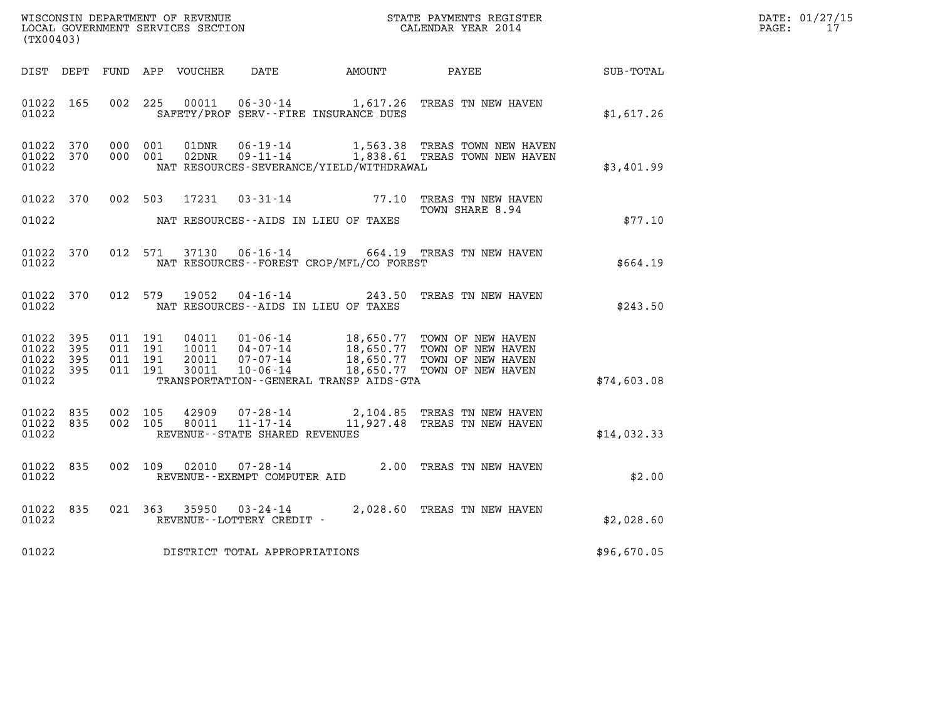|       | DATE: 01/27/15 |
|-------|----------------|
| PAGE: | 17             |

| (TX00403)                                                 |  |  |                                                                                                                                                                                                                                                                 | WISCONSIN DEPARTMENT OF REVENUE<br>LOCAL GOVERNMENT SERVICES SECTION<br>CALENDAR YEAR 2014 |                                                                                                        |             | DATE: 01/27/15<br>PAGE: 17 |
|-----------------------------------------------------------|--|--|-----------------------------------------------------------------------------------------------------------------------------------------------------------------------------------------------------------------------------------------------------------------|--------------------------------------------------------------------------------------------|--------------------------------------------------------------------------------------------------------|-------------|----------------------------|
|                                                           |  |  |                                                                                                                                                                                                                                                                 |                                                                                            | DIST DEPT FUND APP VOUCHER DATE AMOUNT PAYEE SUB-TOTAL                                                 |             |                            |
| 01022 165<br>01022                                        |  |  |                                                                                                                                                                                                                                                                 |                                                                                            | 002 225 00011 06-30-14 1,617.26 TREAS TN NEW HAVEN<br>SAFETY/PROF SERV--FIRE INSURANCE DUES            | \$1,617.26  |                            |
| 01022 370<br>01022 370<br>01022                           |  |  | NAT RESOURCES-SEVERANCE/YIELD/WITHDRAWAL                                                                                                                                                                                                                        |                                                                                            |                                                                                                        | \$3,401.99  |                            |
|                                                           |  |  | 01022 MAT RESOURCES--AIDS IN LIEU OF TAXES                                                                                                                                                                                                                      |                                                                                            | 01022 370 002 503 17231 03-31-14 77.10 TREAS TN NEW HAVEN<br>TOWN SHARE 8.94                           | \$77.10     |                            |
| 01022 370<br>01022                                        |  |  | NAT RESOURCES--FOREST CROP/MFL/CO FOREST                                                                                                                                                                                                                        |                                                                                            | 012 571 37130 06-16-14 664.19 TREAS TN NEW HAVEN                                                       | \$664.19    |                            |
| 01022                                                     |  |  | NAT RESOURCES--AIDS IN LIEU OF TAXES                                                                                                                                                                                                                            |                                                                                            | 01022 370 012 579 19052 04-16-14 243.50 TREAS TN NEW HAVEN                                             | \$243.50    |                            |
| 01022 395<br>01022 395<br>01022 395<br>01022 395<br>01022 |  |  | 011 191 04011 01-06-14 18,650.77 TOWN OF NEW HAVEN<br>011 191 10011 04-07-14 18,650.77 TOWN OF NEW HAVEN<br>011 191 20011 07-07-14 18,650.77 TOWN OF NEW HAVEN<br>011 191 30011 10-06-14 18,650.77 TOWN OF NEW HAVEN<br>TRANSPORTATION--GENERAL TRANSP AIDS-GTA |                                                                                            |                                                                                                        | \$74,603.08 |                            |
| 01022 835<br>01022 835<br>01022                           |  |  | REVENUE--STATE SHARED REVENUES                                                                                                                                                                                                                                  |                                                                                            | 002 105 42909 07-28-14 2,104.85 TREAS TN NEW HAVEN 002 105 80011 11-17-14 11,927.48 TREAS TN NEW HAVEN | \$14,032.33 |                            |
| 01022 835<br>01022                                        |  |  |                                                                                                                                                                                                                                                                 |                                                                                            | 002   109   02010   07-28-14   2.00 TREAS TN NEW HAVEN REVENUE--EXEMPT COMPUTER AID                    | \$2.00      |                            |
| 01022 835<br>01022                                        |  |  | REVENUE--LOTTERY CREDIT -                                                                                                                                                                                                                                       |                                                                                            | 021 363 35950 03-24-14 2,028.60 TREAS TN NEW HAVEN                                                     | \$2,028.60  |                            |
|                                                           |  |  | 01022 DISTRICT TOTAL APPROPRIATIONS                                                                                                                                                                                                                             |                                                                                            |                                                                                                        | \$96,670.05 |                            |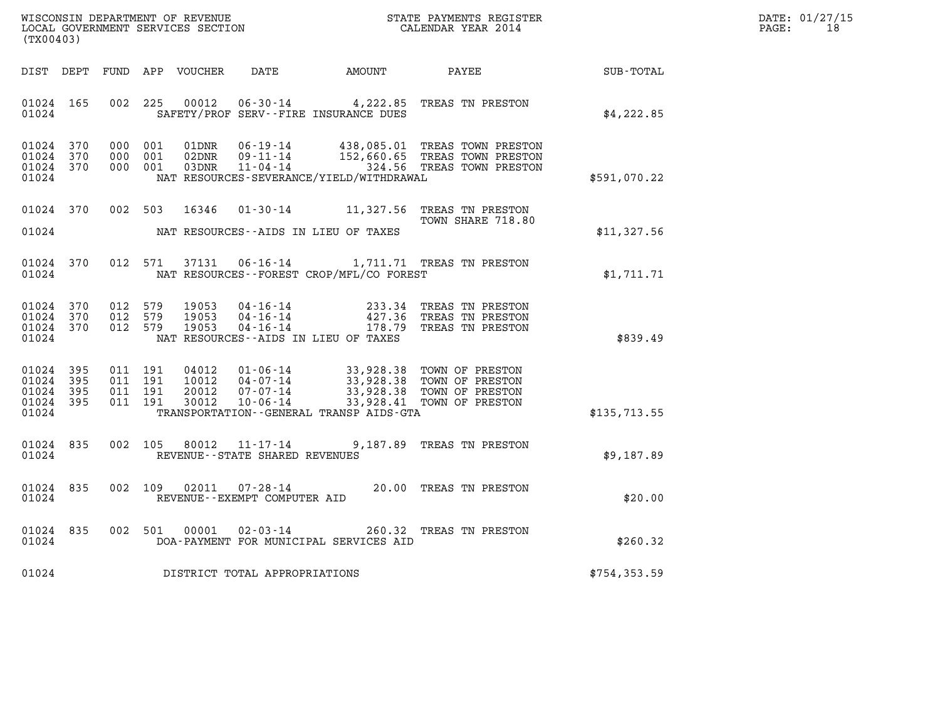| DATE: | 01/27/15 |
|-------|----------|
| PAGE: | 18       |

| (TX00403)                                             |     |  |                                          |                         |                                   |                                          |                                                                                                                                                                                   |               | DATE: 01/27/15<br>$\mathtt{PAGE:}$<br>18 |
|-------------------------------------------------------|-----|--|------------------------------------------|-------------------------|-----------------------------------|------------------------------------------|-----------------------------------------------------------------------------------------------------------------------------------------------------------------------------------|---------------|------------------------------------------|
| DIST DEPT                                             |     |  |                                          | FUND APP VOUCHER        | DATE                              |                                          | AMOUNT PAYEE SUB-TOTAL                                                                                                                                                            |               |                                          |
| 01024 165<br>01024                                    |     |  | 002 225                                  |                         |                                   | SAFETY/PROF SERV--FIRE INSURANCE DUES    | 00012  06-30-14  4,222.85  TREAS TN PRESTON                                                                                                                                       | \$4,222.85    |                                          |
| 01024 370<br>01024 370<br>01024 370<br>01024          |     |  | 000 001<br>000 001<br>000 001            | 01DNR<br>02DNR<br>03DNR |                                   | NAT RESOURCES-SEVERANCE/YIELD/WITHDRAWAL | 06-19-14 438,085.01 TREAS TOWN PRESTON<br>09-11-14 152,660.65 TREAS TOWN PRESTON<br>11-04-14 324.56 TREAS TOWN PRESTON                                                            | \$591,070.22  |                                          |
| 01024 370<br>01024                                    |     |  | 002 503                                  | 16346                   |                                   | NAT RESOURCES--AIDS IN LIEU OF TAXES     | 01-30-14 11,327.56 TREAS TN PRESTON<br>TOWN SHARE 718.80                                                                                                                          | \$11,327.56   |                                          |
| 01024<br>01024                                        | 370 |  | 012 571                                  |                         |                                   | NAT RESOURCES--FOREST CROP/MFL/CO FOREST | 37131  06-16-14   1,711.71   TREAS TN PRESTON                                                                                                                                     | \$1,711.71    |                                          |
| 01024 370<br>01024 370<br>01024 370<br>01024          |     |  | 012 579<br>012 579<br>012 579            | 19053<br>19053<br>19053 |                                   | NAT RESOURCES--AIDS IN LIEU OF TAXES     | 04-16-14 233.34 TREAS TN PRESTON<br>04-16-14 427.36 TREAS TN PRESTON<br>04-16-14 178.79 TREAS TN PRESTON                                                                          | \$839.49      |                                          |
| 01024 395<br>01024<br>01024 395<br>01024 395<br>01024 | 395 |  | 011 191<br>011 191<br>011 191<br>011 191 | 10012<br>20012<br>30012 | 07-07-14<br>$10 - 06 - 14$        | TRANSPORTATION--GENERAL TRANSP AIDS-GTA  | 04012  01-06-14  33,928.38  TOWN OF PRESTON<br>04-07-14 33,928.38 TOWN OF PRESTON<br>07-07-14 33,928.38 TOWN OF PRESTON<br>33,928.38 TOWN OF PRESTON<br>33,928.41 TOWN OF PRESTON | \$135,713.55  |                                          |
| 01024<br>01024                                        | 835 |  | 002 105                                  |                         | REVENUE - - STATE SHARED REVENUES |                                          | 80012  11-17-14  9,187.89  TREAS TN PRESTON                                                                                                                                       | \$9,187.89    |                                          |
| 01024<br>01024                                        | 835 |  | 002 109                                  | 02011                   | REVENUE--EXEMPT COMPUTER AID      |                                          | 07-28-14 20.00 TREAS TN PRESTON                                                                                                                                                   | \$20.00       |                                          |
| 01024<br>01024                                        | 835 |  |                                          | 002 501 00001           |                                   | DOA-PAYMENT FOR MUNICIPAL SERVICES AID   | 02-03-14 260.32 TREAS TN PRESTON                                                                                                                                                  | \$260.32      |                                          |
| 01024                                                 |     |  |                                          |                         | DISTRICT TOTAL APPROPRIATIONS     |                                          |                                                                                                                                                                                   | \$754, 353.59 |                                          |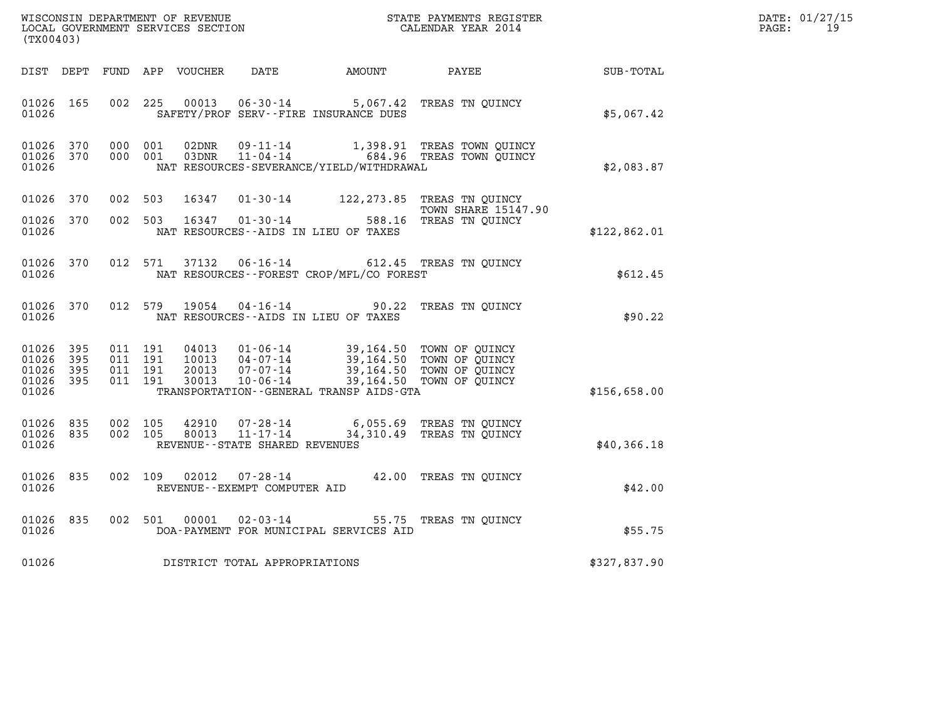|       | DATE: 01/27/15 |
|-------|----------------|
| PAGE: | 19             |

| WISCONSIN DEPARTMENT OF REVENUE<br>LOCAL GOVERNMENT SERVICES SECTION<br>CALENDAR YEAR 2014<br>(TX00403) |            |  |                                          |                                  |                                                              |                                                                                   |                                                                                  |              | DATE: 01/27/15<br>$\mathtt{PAGE}$ :<br>19 |
|---------------------------------------------------------------------------------------------------------|------------|--|------------------------------------------|----------------------------------|--------------------------------------------------------------|-----------------------------------------------------------------------------------|----------------------------------------------------------------------------------|--------------|-------------------------------------------|
|                                                                                                         |            |  |                                          | DIST DEPT FUND APP VOUCHER       |                                                              |                                                                                   | DATE AMOUNT PAYEE SUB-TOTAL                                                      |              |                                           |
| 01026 165<br>01026                                                                                      |            |  | 002 225                                  |                                  |                                                              | SAFETY/PROF SERV--FIRE INSURANCE DUES                                             | 00013  06-30-14  5,067.42  TREAS TN QUINCY                                       | \$5,067.42   |                                           |
| 01026<br>01026 370<br>01026                                                                             | 370        |  | 000 001<br>000 001                       | 02DNR<br>03DNR                   | 09-11-14                                                     | NAT RESOURCES-SEVERANCE/YIELD/WITHDRAWAL                                          | 1,398.91 TREAS TOWN QUINCY<br>11-04-14 684.96 TREAS TOWN QUINCY                  | \$2,083.87   |                                           |
| 01026 370                                                                                               |            |  | 002 503                                  | 16347                            |                                                              |                                                                                   | 01-30-14 122, 273.85 TREAS TN QUINCY                                             |              |                                           |
| 01026 370<br>01026                                                                                      |            |  | 002 503                                  | 16347                            |                                                              | $01 - 30 - 14$<br>$15 - 24 = 588$<br>NAT RESOURCES--AIDS IN LIEU OF TAXES         | <b>TOWN SHARE 15147.90</b><br>588.16 TREAS TN QUINCY                             | \$122,862.01 |                                           |
| 01026<br>01026                                                                                          | 370        |  | 012 571                                  | 37132                            |                                                              | NAT RESOURCES - - FOREST CROP/MFL/CO FOREST                                       | 06-16-14 612.45 TREAS TN QUINCY                                                  | \$612.45     |                                           |
| 01026 370<br>01026                                                                                      |            |  | 012 579                                  | 19054                            |                                                              | NAT RESOURCES--AIDS IN LIEU OF TAXES                                              | 04-16-14 90.22 TREAS TN QUINCY                                                   | \$90.22      |                                           |
| 01026<br>01026<br>01026 395<br>01026 395<br>01026                                                       | 395<br>395 |  | 011 191<br>011 191<br>011 191<br>011 191 | 04013<br>10013<br>20013<br>30013 | $01 - 06 - 14$<br>07-07-14<br>10-06-14                       | 04-07-14 39,164.50 TOWN OF QUINCY<br>TRANSPORTATION - - GENERAL TRANSP AIDS - GTA | 39,164.50 TOWN OF QUINCY<br>39,164.50 TOWN OF QUINCY<br>39,164.50 TOWN OF QUINCY | \$156,658.00 |                                           |
| 01026 835<br>01026 835<br>01026                                                                         |            |  | 002 105<br>002 105                       | 42910<br>80013                   | 07-28-14<br>$11 - 17 - 14$<br>REVENUE--STATE SHARED REVENUES |                                                                                   | 6,055.69 TREAS TN QUINCY<br>34,310.49 TREAS TN OUINCY                            | \$40,366.18  |                                           |
| 01026 835<br>01026                                                                                      |            |  | 002 109                                  | 02012                            | REVENUE--EXEMPT COMPUTER AID                                 |                                                                                   | 07-28-14 42.00 TREAS TN QUINCY                                                   | \$42.00      |                                           |
| 01026<br>01026                                                                                          | 835        |  |                                          | 002 501 00001                    |                                                              | DOA-PAYMENT FOR MUNICIPAL SERVICES AID                                            | 02-03-14 55.75 TREAS TN QUINCY                                                   | \$55.75      |                                           |
| 01026                                                                                                   |            |  |                                          |                                  | DISTRICT TOTAL APPROPRIATIONS                                |                                                                                   |                                                                                  | \$327,837.90 |                                           |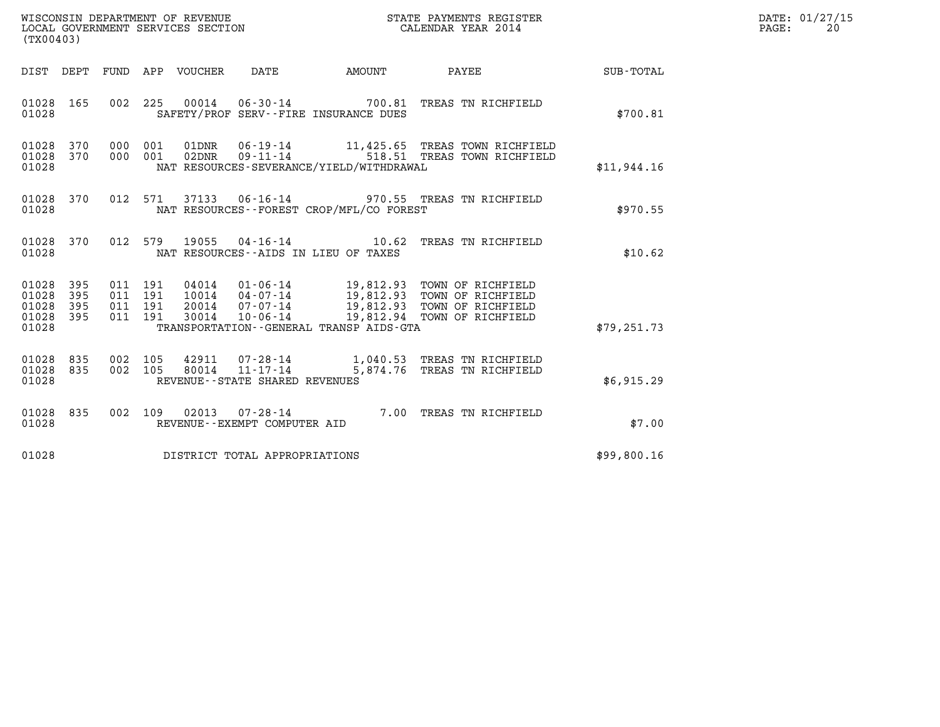| WISCONSIN DEPARTMENT OF REVENUE<br>LOCAL GOVERNMENT SERVICES SECTION | STATE PAYMENTS REGISTER<br>CALENDAR YEAR 2014 | DATE: 01/27/15<br>20<br>PAGE: |
|----------------------------------------------------------------------|-----------------------------------------------|-------------------------------|

| WISCONSIN DEPARTMENT OF REVENUE<br>STATE PAYMENTS REGISTER<br>LOCAL GOVERNMENT SERVICES SECTION<br>CALENDAR YEAR 2014<br>(TX00403) |                          |                          |                          |                                  |                                                                |                                                 |                                                                                                                          |              |
|------------------------------------------------------------------------------------------------------------------------------------|--------------------------|--------------------------|--------------------------|----------------------------------|----------------------------------------------------------------|-------------------------------------------------|--------------------------------------------------------------------------------------------------------------------------|--------------|
| DIST                                                                                                                               | DEPT                     | FUND                     | APP                      | VOUCHER                          | DATE                                                           | AMOUNT                                          | PAYEE                                                                                                                    | SUB-TOTAL    |
| 01028<br>01028                                                                                                                     | 165                      | 002                      | 225                      | 00014                            |                                                                | SAFETY/PROF SERV--FIRE INSURANCE DUES           | 06-30-14 700.81 TREAS TN RICHFIELD                                                                                       | \$700.81     |
| 01028<br>01028<br>01028                                                                                                            | 370<br>370               | 000<br>000               | 001<br>001               | 01DNR<br>02DNR                   | $06 - 19 - 14$<br>$09 - 11 - 14$                               | NAT RESOURCES-SEVERANCE/YIELD/WITHDRAWAL        | 11,425.65 TREAS TOWN RICHFIELD<br>518.51 TREAS TOWN RICHFIELD                                                            | \$11,944.16  |
| 01028<br>01028                                                                                                                     | 370                      | 012                      | 571                      | 37133                            |                                                                | NAT RESOURCES - - FOREST CROP/MFL/CO FOREST     | 06-16-14 970.55 TREAS TN RICHFIELD                                                                                       | \$970.55     |
| 01028<br>01028                                                                                                                     | 370                      | 012                      | 579                      | 19055                            | $04 - 16 - 14$                                                 | 10.62<br>NAT RESOURCES -- AIDS IN LIEU OF TAXES | TREAS TN RICHFIELD                                                                                                       | \$10.62      |
| 01028<br>01028<br>01028<br>01028<br>01028                                                                                          | 395<br>395<br>395<br>395 | 011<br>011<br>011<br>011 | 191<br>191<br>191<br>191 | 04014<br>10014<br>20014<br>30014 | $01 - 06 - 14$<br>04-07-14<br>$07 - 07 - 14$<br>$10 - 06 - 14$ | TRANSPORTATION - - GENERAL TRANSP AIDS - GTA    | 19,812.93 TOWN OF RICHFIELD<br>19,812.93 TOWN OF RICHFIELD<br>19,812.93 TOWN OF RICHFIELD<br>19,812.94 TOWN OF RICHFIELD | \$79, 251.73 |
| 01028<br>01028<br>01028                                                                                                            | 835<br>835               | 002<br>002               | 105<br>105               | 42911<br>80014                   | 07-28-14<br>11-17-14<br>REVENUE - - STATE SHARED REVENUES      |                                                 | 1,040.53 TREAS TN RICHFIELD<br>5,874.76 TREAS TN RICHFIELD                                                               | \$6,915.29   |
| 01028<br>01028                                                                                                                     | 835                      | 002                      | 109                      | 02013                            | $07 - 28 - 14$<br>REVENUE - - EXEMPT COMPUTER AID              |                                                 | 7.00 TREAS TN RICHFIELD                                                                                                  | \$7.00       |
| 01028                                                                                                                              |                          |                          |                          |                                  | DISTRICT TOTAL APPROPRIATIONS                                  |                                                 |                                                                                                                          | \$99,800.16  |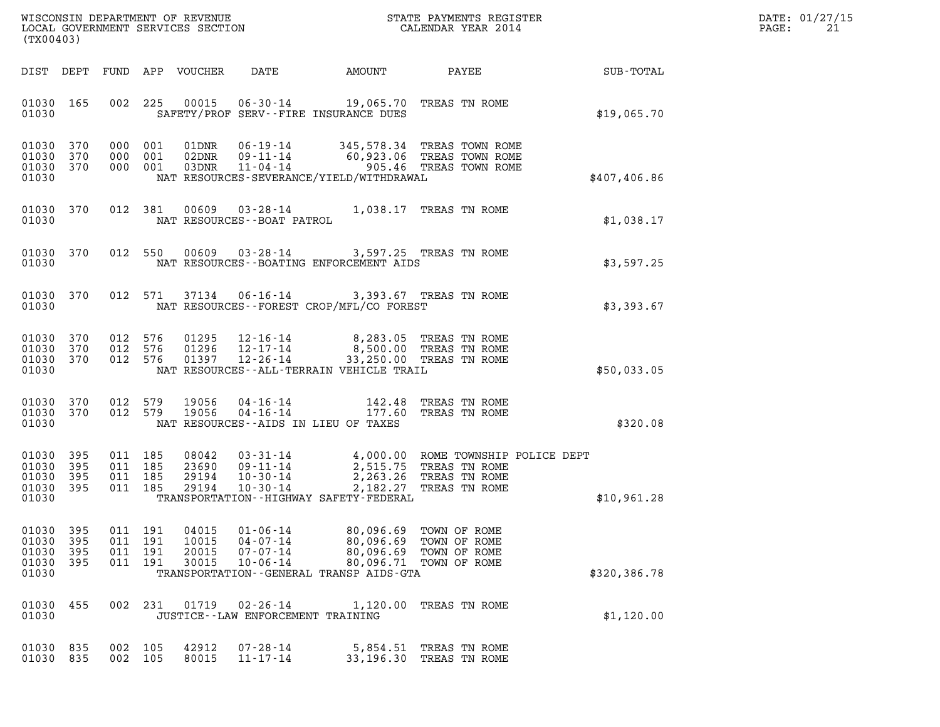|       | DATE: 01/27/15 |
|-------|----------------|
| PAGE: | 2.1            |

| (TX00403)                                                                                                                                                                                                                                                                                                                                                                                       | DATE: 01/27/15<br>PAGE:<br>21 |
|-------------------------------------------------------------------------------------------------------------------------------------------------------------------------------------------------------------------------------------------------------------------------------------------------------------------------------------------------------------------------------------------------|-------------------------------|
| DATE<br>AMOUNT PAYEE SUB-TOTAL<br>DIST DEPT<br>FUND APP VOUCHER                                                                                                                                                                                                                                                                                                                                 |                               |
| 06-30-14 19,065.70 TREAS TN ROME<br>01030 165<br>002<br>225<br>00015<br>01030<br>SAFETY/PROF SERV--FIRE INSURANCE DUES                                                                                                                                                                                                                                                                          | \$19,065.70                   |
| 01030 370<br>000 001<br>01DNR<br>06-19-14 345,578.34 TREAS TOWN ROME<br>09-11-14 60,923.06 TREAS TOWN ROME<br>01030<br>370<br>000 001<br>02DNR<br>01030 370<br>000 001<br>03DNR<br>11-04-14 905.46 TREAS TOWN ROME<br>NAT RESOURCES-SEVERANCE/YIELD/WITHDRAWAL<br>01030                                                                                                                         | \$407,406.86                  |
| 01030 370<br>012 381 00609 03-28-14 1,038.17 TREAS TN ROME<br>01030<br>NAT RESOURCES--BOAT PATROL                                                                                                                                                                                                                                                                                               | \$1,038.17                    |
| 012 550 00609 03-28-14 3,597.25 TREAS TN ROME<br>01030 370<br>01030<br>NAT RESOURCES - - BOATING ENFORCEMENT AIDS                                                                                                                                                                                                                                                                               | \$3,597.25                    |
| 01030 370<br>012 571 37134 06-16-14 3,393.67 TREAS TN ROME<br>NAT RESOURCES - - FOREST CROP/MFL/CO FOREST<br>01030                                                                                                                                                                                                                                                                              | \$3,393.67                    |
| 01030 370<br>012 576<br>01295<br>$12 - 16 - 14$<br>8,283.05 TREAS TN ROME<br>01030 370<br>012 576<br>01296<br>12-17-14 8,500.00 TREAS TN ROME<br>$12 - 26 - 14$<br>01030 370<br>012 576<br>01397<br>33,250.00 TREAS TN ROME<br>01030<br>NAT RESOURCES--ALL-TERRAIN VEHICLE TRAIL                                                                                                                | \$50,033.05                   |
| 04-16-14 142.48 TREAS TN ROME<br>04-16-14 177.60 TREAS TN ROME<br>01030 370<br>012 579<br>19056<br>01030 370<br>012 579<br>19056<br>01030<br>NAT RESOURCES--AIDS IN LIEU OF TAXES                                                                                                                                                                                                               | \$320.08                      |
| 01030<br>395<br>011 185<br>08042<br>03-31-14 4,000.00 ROME TOWNSHIP POLICE DEPT<br>09-11-14 2,515.75 TREAS TN ROME<br>10-30-14 2,263.26 TREAS TN ROME<br>011 185<br>01030<br>395<br>23690<br>29194<br>01030<br>395<br>011 185<br>01030 395<br>011 185<br>29194<br>$10 - 30 - 14$<br>2,182.27<br>TREAS TN ROME<br>01030<br>TRANSPORTATION - - HIGHWAY SAFETY - FEDERAL                           | \$10,961.28                   |
| 80,096.69<br>01030<br>395<br>011 191<br>04015<br>$01 - 06 - 14$<br>TOWN OF ROME<br>01030<br>395<br>191<br>10015<br>$04 - 07 - 14$<br>80,096.69<br>011<br>TOWN OF ROME<br>01030<br>395<br>191<br>20015<br>$07 - 07 - 14$<br>80,096.69<br>011<br>TOWN OF ROME<br>01030<br>395<br>011 191<br>30015<br>$10 - 06 - 14$<br>80,096.71 TOWN OF ROME<br>01030<br>TRANSPORTATION--GENERAL TRANSP AIDS-GTA | \$320,386.78                  |
| 01030<br>455<br>002<br>231<br>01719<br>$02 - 26 - 14$<br>1,120.00<br>TREAS TN ROME<br>01030<br>JUSTICE - - LAW ENFORCEMENT TRAINING                                                                                                                                                                                                                                                             | \$1,120.00                    |
| 01030<br>42912<br>835<br>002<br>105<br>$07 - 28 - 14$<br>5,854.51<br>TREAS TN ROME<br>01030 835<br>105<br>80015<br>$11 - 17 - 14$<br>33,196.30<br>002<br>TREAS TN ROME                                                                                                                                                                                                                          |                               |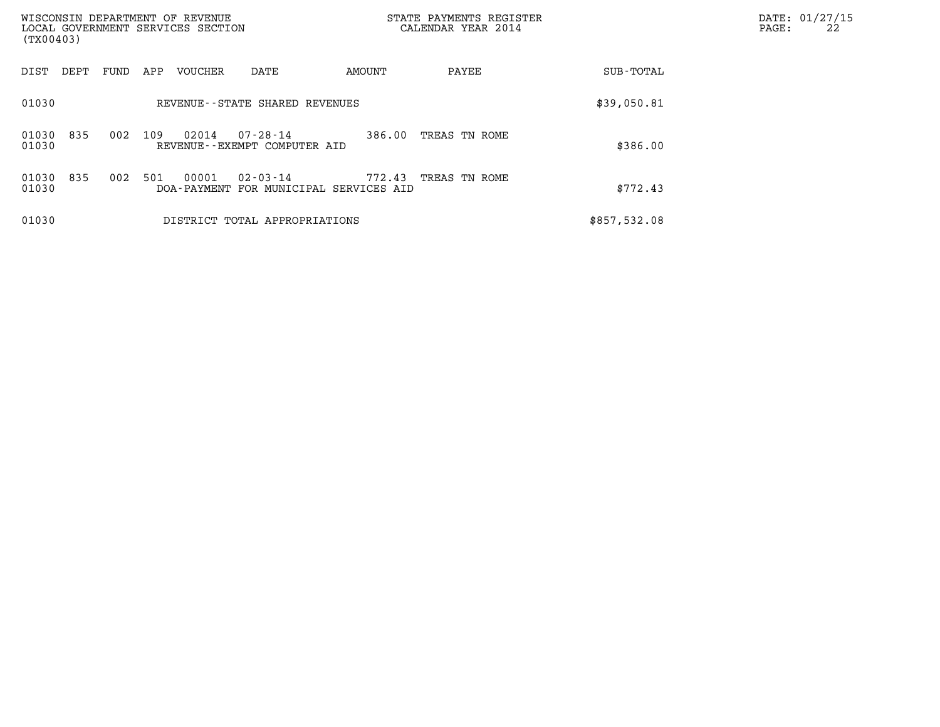| (TX00403)                    | WISCONSIN DEPARTMENT OF REVENUE<br>LOCAL GOVERNMENT SERVICES SECTION |                                      | STATE PAYMENTS REGISTER<br>CALENDAR YEAR 2014 |              | DATE: 01/27/15<br>22<br>PAGE: |
|------------------------------|----------------------------------------------------------------------|--------------------------------------|-----------------------------------------------|--------------|-------------------------------|
| DIST<br>FUND<br>DEPT         | VOUCHER<br>APP<br>DATE                                               | AMOUNT                               | PAYEE                                         | SUB-TOTAL    |                               |
| 01030                        | REVENUE--STATE SHARED REVENUES                                       | \$39,050.81                          |                                               |              |                               |
| 835<br>002<br>01030<br>01030 | 109<br>02014<br>$07 - 28 - 14$<br>REVENUE--EXEMPT COMPUTER AID       | 386.00                               | TREAS TN ROME                                 | \$386.00     |                               |
| 835<br>01030<br>002<br>01030 | 501<br>00001<br>$02 - 03 - 14$<br>DOA-PAYMENT                        | 772.43<br>FOR MUNICIPAL SERVICES AID | TREAS TN ROME                                 | \$772.43     |                               |
| 01030                        | DISTRICT TOTAL APPROPRIATIONS                                        |                                      |                                               | \$857,532.08 |                               |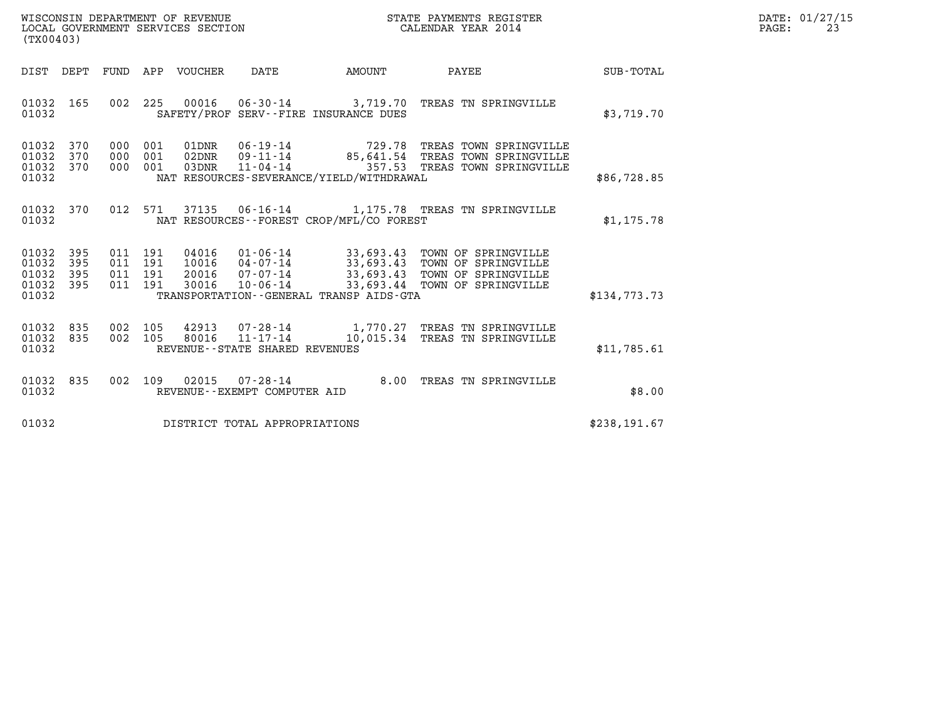| WISCONSIN DEPARTMENT OF REVENUE   | STATE PAYMENTS REGISTER | DATE: 01/27/15 |
|-----------------------------------|-------------------------|----------------|
| LOCAL GOVERNMENT SERVICES SECTION | CALENDAR YEAR 2014      | PAGE:          |

| (TX00403)                                 |                          |                          |                          |                                  |                                                                      |                                             |                                                                                                                                  |                  |  |
|-------------------------------------------|--------------------------|--------------------------|--------------------------|----------------------------------|----------------------------------------------------------------------|---------------------------------------------|----------------------------------------------------------------------------------------------------------------------------------|------------------|--|
| DIST                                      | DEPT                     | FUND                     | APP                      | VOUCHER                          | DATE                                                                 | AMOUNT                                      | PAYEE                                                                                                                            | <b>SUB-TOTAL</b> |  |
| 01032<br>01032                            | 165                      | 002                      | 225                      |                                  |                                                                      | SAFETY/PROF SERV--FIRE INSURANCE DUES       | 00016  06-30-14  3,719.70 TREAS TN SPRINGVILLE                                                                                   | \$3,719.70       |  |
| 01032<br>01032<br>01032<br>01032          | 370<br>370<br>370        | 000<br>000<br>000        | 001<br>001<br>001        | 01DNR<br>02DNR<br>03DNR          | $06 - 19 - 14$<br>09-11-14<br>$11 - 04 - 14$                         | NAT RESOURCES-SEVERANCE/YIELD/WITHDRAWAL    | 729.78 TREAS TOWN SPRINGVILLE<br>85,641.54 TREAS TOWN SPRINGVILLE<br>357.53 TREAS TOWN SPRINGVILLE                               | \$86,728.85      |  |
| 01032<br>01032                            | 370                      | 012                      | 571                      |                                  |                                                                      | NAT RESOURCES - - FOREST CROP/MFL/CO FOREST | 37135   06-16-14   1,175.78   TREAS TN SPRINGVILLE                                                                               | \$1,175.78       |  |
| 01032<br>01032<br>01032<br>01032<br>01032 | 395<br>395<br>395<br>395 | 011<br>011<br>011<br>011 | 191<br>191<br>191<br>191 | 04016<br>10016<br>20016<br>30016 | $01 - 06 - 14$<br>$04 - 07 - 14$<br>$07 - 07 - 14$<br>$10 - 06 - 14$ | TRANSPORTATION--GENERAL TRANSP AIDS-GTA     | 33,693.43 TOWN OF SPRINGVILLE<br>33,693.43 TOWN OF SPRINGVILLE<br>33,693.43 TOWN OF SPRINGVILLE<br>33,693.44 TOWN OF SPRINGVILLE | \$134,773.73     |  |
| 01032<br>01032<br>01032                   | 835<br>835               | 002<br>002               | 105<br>105               | 42913<br>80016                   | REVENUE - - STATE SHARED REVENUES                                    |                                             | $07 - 28 - 14$ $1,770.27$ TREAS TN SPRINGVILLE<br>11-17-14 10,015.34 TREAS TN SPRINGVILLE                                        | \$11,785.61      |  |
| 01032<br>01032                            | 835                      | 002                      | 109                      | 02015                            | $07 - 28 - 14$<br>REVENUE--EXEMPT COMPUTER AID                       | 8.00                                        | TREAS TN SPRINGVILLE                                                                                                             | \$8.00           |  |
| 01032                                     |                          |                          |                          |                                  | DISTRICT TOTAL APPROPRIATIONS                                        |                                             |                                                                                                                                  | \$238,191.67     |  |
|                                           |                          |                          |                          |                                  |                                                                      |                                             |                                                                                                                                  |                  |  |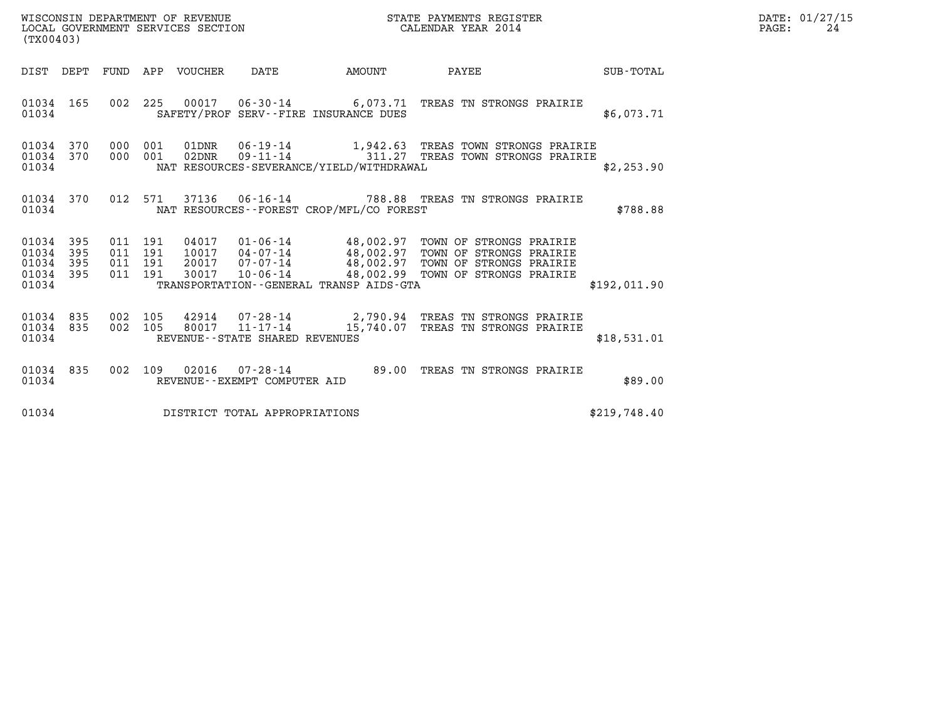| DATE: | 01/27/15 |
|-------|----------|
| PAGE: | 2.4      |

| (TX00403)                                                 |           |                                          |                                 |                                |                                          |                                                                                                                                                                                                                          |              | DATE: 01/27/15<br>$\mathtt{PAGE:}$<br>24 |
|-----------------------------------------------------------|-----------|------------------------------------------|---------------------------------|--------------------------------|------------------------------------------|--------------------------------------------------------------------------------------------------------------------------------------------------------------------------------------------------------------------------|--------------|------------------------------------------|
|                                                           |           |                                          | DIST DEPT FUND APP VOUCHER DATE |                                |                                          | AMOUNT PAYEE SUB-TOTAL                                                                                                                                                                                                   |              |                                          |
| 01034 165<br>01034                                        |           |                                          |                                 |                                | SAFETY/PROF SERV--FIRE INSURANCE DUES    | 002 225 00017 06-30-14 6,073.71 TREAS TN STRONGS PRAIRIE                                                                                                                                                                 | \$6.073.71   |                                          |
| 01034 370<br>01034                                        |           | 01034 370 000 001<br>000 001             |                                 |                                | NAT RESOURCES-SEVERANCE/YIELD/WITHDRAWAL | 01DNR  06-19-14   1,942.63 TREAS TOWN STRONGS PRAIRIE<br>02DNR  09-11-14   11.27 TREAS TOWN STRONGS PRAIRIE                                                                                                              | \$2,253.90   |                                          |
| 01034 370<br>01034                                        |           |                                          |                                 |                                | NAT RESOURCES--FOREST CROP/MFL/CO FOREST | 012 571 37136 06-16-14 788.88 TREAS TN STRONGS PRAIRIE                                                                                                                                                                   | \$788.88     |                                          |
| 01034 395<br>01034 395<br>01034 395<br>01034 395<br>01034 |           | 011 191<br>011 191<br>011 191<br>011 191 |                                 |                                | TRANSPORTATION--GENERAL TRANSP AIDS-GTA  | 04017  01-06-14  48,002.97  TOWN OF STRONGS PRAIRIE<br>10017  04-07-14  48,002.97  TOWN OF STRONGS PRAIRIE<br>20017  07-07-14  48,002.97  TOWN OF STRONGS PRAIRIE<br>30017  10-06-14  48,002.99  TOWN OF STRONGS PRAIRIE | \$192.011.90 |                                          |
| 01034 835<br>01034                                        | 01034 835 | 002 105<br>002 105                       |                                 | REVENUE--STATE SHARED REVENUES |                                          | 42914  07-28-14  2,790.94 TREAS TN STRONGS PRAIRIE<br>80017  11-17-14  15,740.07 TREAS TN STRONGS PRAIRIE                                                                                                                | \$18,531.01  |                                          |
| 01034 835<br>01034                                        |           |                                          |                                 | REVENUE--EXEMPT COMPUTER AID   |                                          | 002 109 02016 07-28-14 89.00 TREAS TN STRONGS PRAIRIE                                                                                                                                                                    | \$89.00      |                                          |
| 01034                                                     |           |                                          |                                 | DISTRICT TOTAL APPROPRIATIONS  |                                          |                                                                                                                                                                                                                          | \$219,748.40 |                                          |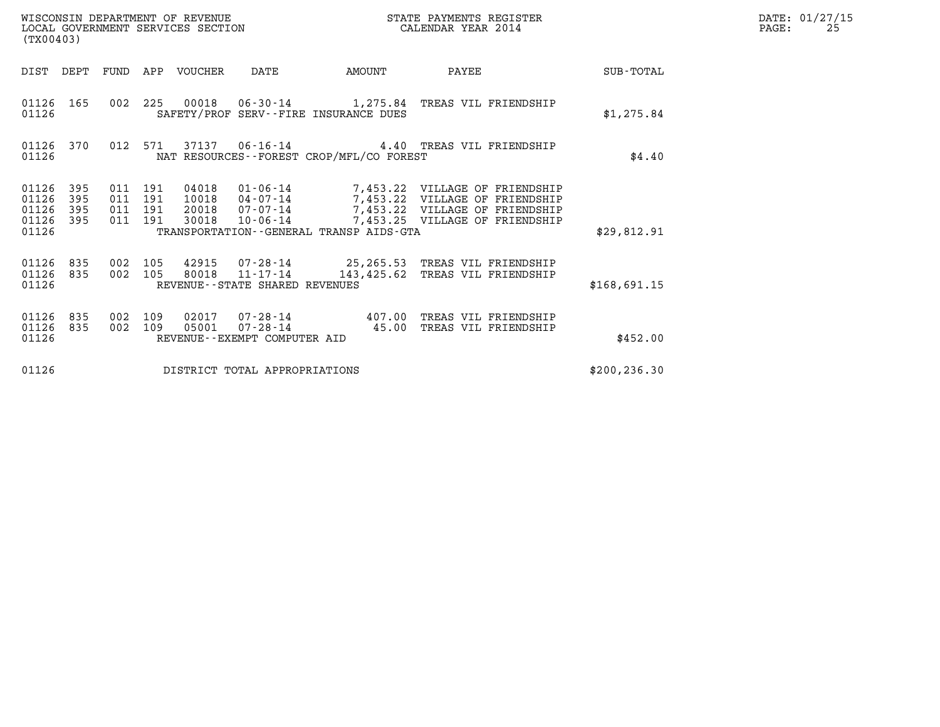| (TX00403)                                         |                                                                                                                    |                                          |     | WISCONSIN DEPARTMENT OF REVENUE | WISCONSIN DEPARTMENT OF REVENUE<br>LOCAL GOVERNMENT SERVICES SECTION |                                              | STATE PAYMENTS REGISTER<br>CALENDAR YEAR 2014                                                                                                                                                       |              | DATE: 01/27/15<br>PAGE:<br>25 |
|---------------------------------------------------|--------------------------------------------------------------------------------------------------------------------|------------------------------------------|-----|---------------------------------|----------------------------------------------------------------------|----------------------------------------------|-----------------------------------------------------------------------------------------------------------------------------------------------------------------------------------------------------|--------------|-------------------------------|
|                                                   |                                                                                                                    |                                          |     | DIST DEPT FUND APP VOUCHER      | DATE                                                                 | <b>AMOUNT</b>                                | PAYEE                                                                                                                                                                                               | SUB-TOTAL    |                               |
| 01126                                             | 01126 165                                                                                                          |                                          |     |                                 |                                                                      | SAFETY/PROF SERV--FIRE INSURANCE DUES        | 002 225 00018 06-30-14 1,275.84 TREAS VIL FRIENDSHIP                                                                                                                                                | \$1,275.84   |                               |
| 01126                                             | 01126 370<br>012 571<br>37137   06-16-14   4.40   TREAS VIL FRIENDSHIP<br>NAT RESOURCES--FOREST CROP/MFL/CO FOREST |                                          |     |                                 |                                                                      |                                              |                                                                                                                                                                                                     | \$4.40       |                               |
| 01126 395<br>01126<br>01126<br>01126 395<br>01126 | 395<br>395                                                                                                         | 011 191<br>011 191<br>011 191<br>011 191 |     | 30018                           |                                                                      | TRANSPORTATION - - GENERAL TRANSP AIDS - GTA | 04018  01-06-14  7,453.22  VILLAGE OF FRIENDSHIP<br>10018  04-07-14  7,453.22  VILLAGE OF FRIENDSHIP<br>20018  07-07-14  7,453.22  VILLAGE OF FRIENDSHIP<br>10-06-14 7,453.25 VILLAGE OF FRIENDSHIP | \$29,812.91  |                               |
| 01126 835<br>01126 835<br>01126                   |                                                                                                                    | 002 105<br>002 105                       |     | 80018                           | REVENUE - - STATE SHARED REVENUES                                    |                                              | 42915  07-28-14  25,265.53  TREAS VIL FRIENDSHIP<br>11-17-14 143,425.62 TREAS VIL FRIENDSHIP                                                                                                        | \$168,691.15 |                               |
| 01126 835<br>01126 835<br>01126                   |                                                                                                                    | 002<br>002 109                           | 109 | 05001                           | REVENUE--EXEMPT COMPUTER AID                                         |                                              | 02017  07-28-14  407.00  TREAS VIL FRIENDSHIP<br>07-28-14  45.00 TREAS VIL FRIENDSHIP                                                                                                               | \$452.00     |                               |
| 01126                                             |                                                                                                                    |                                          |     | DISTRICT TOTAL APPROPRIATIONS   | \$200, 236.30                                                        |                                              |                                                                                                                                                                                                     |              |                               |